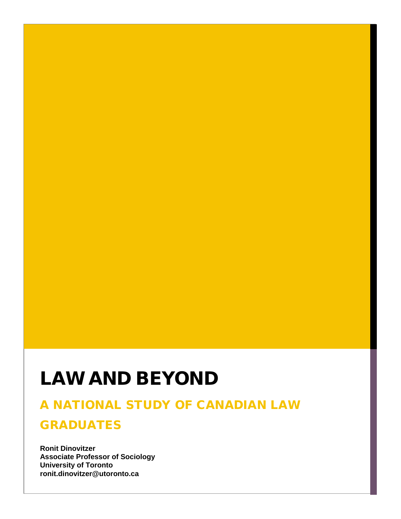## LAW AND BEYOND

## A NATIONAL STUDY OF CANADIAN LAW

## GRADUATES

**Ronit Dinovitzer Associate Professor of Sociology University of Toronto ronit.dinovitzer@utoronto.ca**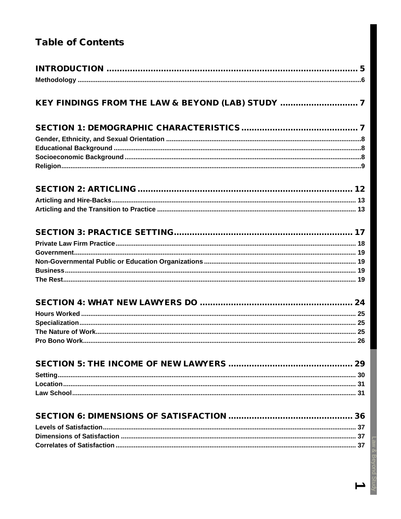## **Table of Contents**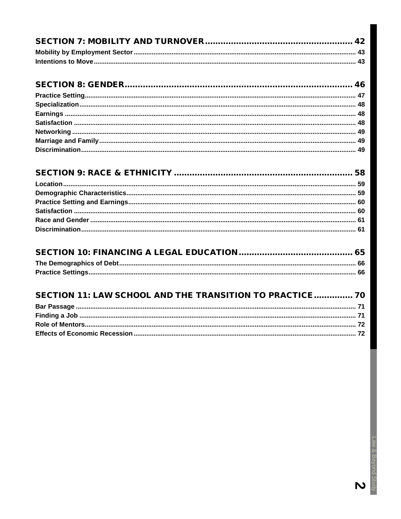| SECTION 11: LAW SCHOOL AND THE TRANSITION TO PRACTICE 70 |  |
|----------------------------------------------------------|--|
|                                                          |  |
|                                                          |  |
|                                                          |  |
|                                                          |  |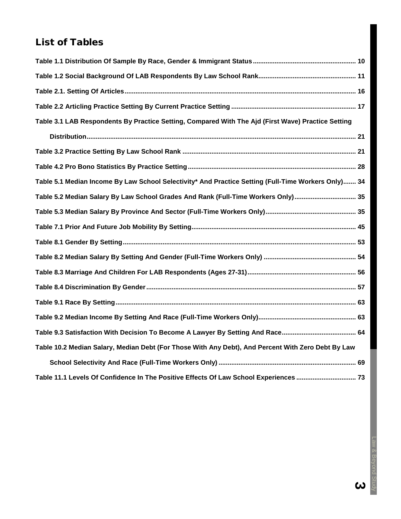## List of Tables

| Table 3.1 LAB Respondents By Practice Setting, Compared With The Ajd (First Wave) Practice Setting  |  |
|-----------------------------------------------------------------------------------------------------|--|
|                                                                                                     |  |
|                                                                                                     |  |
|                                                                                                     |  |
| Table 5.1 Median Income By Law School Selectivity* And Practice Setting (Full-Time Workers Only) 34 |  |
| Table 5.2 Median Salary By Law School Grades And Rank (Full-Time Workers Only) 35                   |  |
|                                                                                                     |  |
|                                                                                                     |  |
|                                                                                                     |  |
|                                                                                                     |  |
|                                                                                                     |  |
|                                                                                                     |  |
|                                                                                                     |  |
|                                                                                                     |  |
|                                                                                                     |  |
| Table 10.2 Median Salary, Median Debt (For Those With Any Debt), And Percent With Zero Debt By Law  |  |
|                                                                                                     |  |
| Table 11.1 Levels Of Confidence In The Positive Effects Of Law School Experiences  73               |  |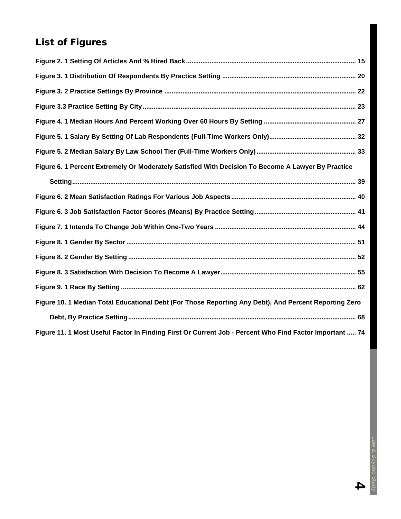## List of Figures

| Figure 6. 1 Percent Extremely Or Moderately Satisfied With Decision To Become A Lawyer By Practice      |  |
|---------------------------------------------------------------------------------------------------------|--|
|                                                                                                         |  |
|                                                                                                         |  |
|                                                                                                         |  |
|                                                                                                         |  |
|                                                                                                         |  |
|                                                                                                         |  |
|                                                                                                         |  |
|                                                                                                         |  |
| Figure 10. 1 Median Total Educational Debt (For Those Reporting Any Debt), And Percent Reporting Zero   |  |
|                                                                                                         |  |
| Figure 11. 1 Most Useful Factor In Finding First Or Current Job - Percent Who Find Factor Important  74 |  |

Law & Beyond Study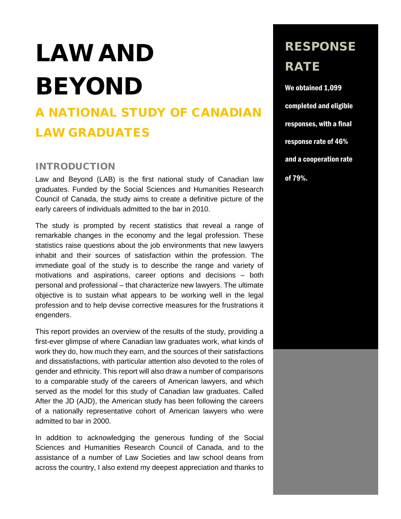# LAW AND BEYOND

## A NATIONAL STUDY OF CANADIAN LAW GRADUATES

#### <span id="page-5-0"></span>INTRODUCTION

Law and Beyond (LAB) is the first national study of Canadian law graduates. Funded by the Social Sciences and Humanities Research Council of Canada, the study aims to create a definitive picture of the early careers of individuals admitted to the bar in 2010.

The study is prompted by recent statistics that reveal a range of remarkable changes in the economy and the legal profession. These statistics raise questions about the job environments that new lawyers inhabit and their sources of satisfaction within the profession. The immediate goal of the study is to describe the range and variety of motivations and aspirations, career options and decisions – both personal and professional – that characterize new lawyers. The ultimate objective is to sustain what appears to be working well in the legal profession and to help devise corrective measures for the frustrations it engenders.

This report provides an overview of the results of the study, providing a first-ever glimpse of where Canadian law graduates work, what kinds of work they do, how much they earn, and the sources of their satisfactions and dissatisfactions, with particular attention also devoted to the roles of gender and ethnicity. This report will also draw a number of comparisons to a comparable study of the careers of American lawyers, and which served as the model for this study of Canadian law graduates. Called After the JD (AJD), the American study has been following the careers of a nationally representative cohort of American lawyers who were admitted to bar in 2000.

In addition to acknowledging the generous funding of the Social Sciences and Humanities Research Council of Canada, and to the assistance of a number of Law Societies and law school deans from across the country, I also extend my deepest appreciation and thanks to

## RESPONSE RATE

We obtained 1,099 completed and eligible responses, with a final response rate of 46% and a cooperation rate of 79%.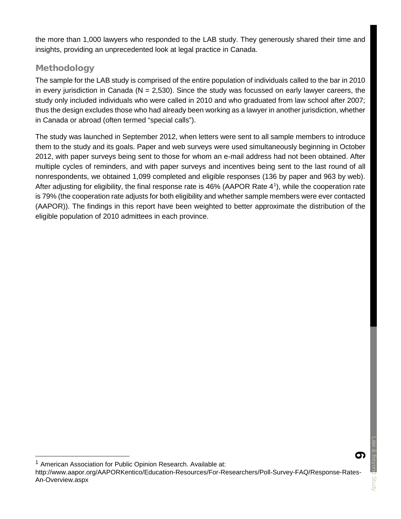the more than 1,000 lawyers who responded to the LAB study. They generously shared their time and insights, providing an unprecedented look at legal practice in Canada.

#### <span id="page-6-0"></span>Methodology

The sample for the LAB study is comprised of the entire population of individuals called to the bar in 2010 in every jurisdiction in Canada ( $N = 2,530$ ). Since the study was focussed on early lawyer careers, the study only included individuals who were called in 2010 and who graduated from law school after 2007; thus the design excludes those who had already been working as a lawyer in another jurisdiction, whether in Canada or abroad (often termed "special calls").

The study was launched in September 2012, when letters were sent to all sample members to introduce them to the study and its goals. Paper and web surveys were used simultaneously beginning in October 2012, with paper surveys being sent to those for whom an e-mail address had not been obtained. After multiple cycles of reminders, and with paper surveys and incentives being sent to the last round of all nonrespondents, we obtained 1,099 completed and eligible responses (136 by paper and 963 by web). After adjusting for eligibility, the final response rate is 46% (AAPOR Rate 4<sup>[1](#page-6-1)</sup>), while the cooperation rate is 79% (the cooperation rate adjusts for both eligibility and whether sample members were ever contacted (AAPOR)). The findings in this report have been weighted to better approximate the distribution of the eligible population of 2010 admittees in each province.



<span id="page-6-1"></span>American Association for Public Opinion Research. Available at:

http://www.aapor.org/AAPORKentico/Education-Resources/For-Researchers/Poll-Survey-FAQ/Response-Rates-An-Overview.aspx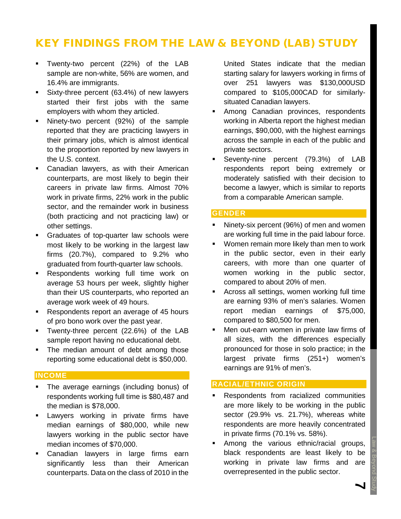## <span id="page-7-0"></span>KEY FINDINGS FROM THE LAW & BEYOND (LAB) STUDY

- Twenty-two percent (22%) of the LAB sample are non-white, 56% are women, and 16.4% are immigrants.
- Sixty-three percent (63.4%) of new lawyers started their first jobs with the same employers with whom they articled.
- Ninety-two percent (92%) of the sample reported that they are practicing lawyers in their primary jobs, which is almost identical to the proportion reported by new lawyers in the U.S. context.
- Canadian lawyers, as with their American counterparts, are most likely to begin their careers in private law firms. Almost 70% work in private firms, 22% work in the public sector, and the remainder work in business (both practicing and not practicing law) or other settings.
- Graduates of top-quarter law schools were most likely to be working in the largest law firms (20.7%), compared to 9.2% who graduated from fourth-quarter law schools.
- **Respondents working full time work on** average 53 hours per week, slightly higher than their US counterparts, who reported an average work week of 49 hours.
- Respondents report an average of 45 hours of pro bono work over the past year.
- Twenty-three percent (22.6%) of the LAB sample report having no educational debt.
- The median amount of debt among those reporting some educational debt is \$50,000.

#### **INCOME**

- The average earnings (including bonus) of respondents working full time is \$80,487 and the median is \$78,000.
- Lawyers working in private firms have median earnings of \$80,000, while new lawyers working in the public sector have median incomes of \$70,000.
- **Canadian lawyers in large firms earn** significantly less than their American counterparts. Data on the class of 2010 in the

United States indicate that the median starting salary for lawyers working in firms of over 251 lawyers was \$130,000USD compared to \$105,000CAD for similarlysituated Canadian lawyers.

- Among Canadian provinces, respondents working in Alberta report the highest median earnings, \$90,000, with the highest earnings across the sample in each of the public and private sectors.
- Seventy-nine percent (79.3%) of LAB respondents report being extremely or moderately satisfied with their decision to become a lawyer, which is similar to reports from a comparable American sample.

#### **GENDER**

- Ninety-six percent (96%) of men and women are working full time in the paid labour force.
- Women remain more likely than men to work in the public sector, even in their early careers, with more than one quarter of women working in the public sector, compared to about 20% of men.
- Across all settings, women working full time are earning 93% of men's salaries. Women report median earnings of \$75,000, compared to \$80,500 for men.
- **Men out-earn women in private law firms of** all sizes, with the differences especially pronounced for those in solo practice; in the largest private firms (251+) women's earnings are 91% of men's.

#### **RACIAL/ETHNIC ORIGIN**

- Respondents from racialized communities are more likely to be working in the public sector (29.9% vs. 21.7%), whereas white respondents are more heavily concentrated in private firms (70.1% vs. 58%).
- Among the various ethnic/racial groups, black respondents are least likely to be working in private law firms and are overrepresented in the public sector.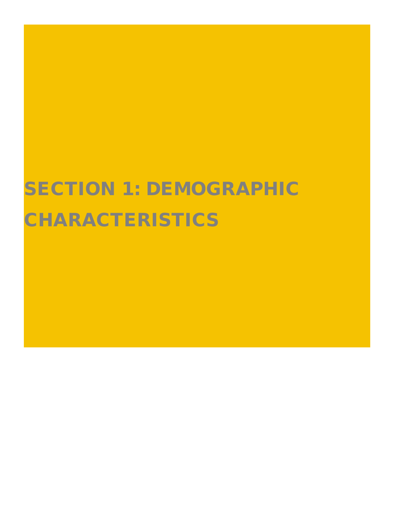# SECTION 1: DEMOGRAPHIC CHARACTERISTICS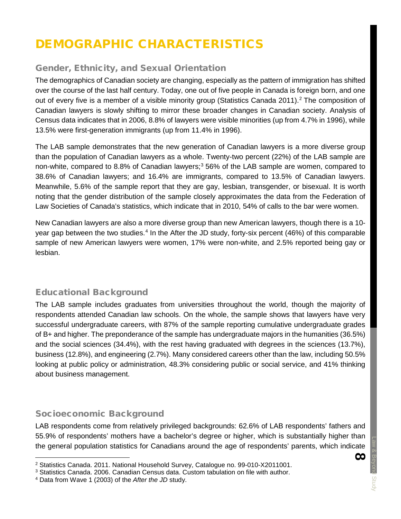## DEMOGRAPHIC CHARACTERISTICS

#### <span id="page-9-0"></span>Gender, Ethnicity, and Sexual Orientation

The demographics of Canadian society are changing, especially as the pattern of immigration has shifted over the course of the last half century. Today, one out of five people in Canada is foreign born, and one out of every five is a member of a visible minority group (Statistics Canada [2](#page-9-3)011).<sup>2</sup> The composition of Canadian lawyers is slowly shifting to mirror these broader changes in Canadian society. Analysis of Census data indicates that in 2006, 8.8% of lawyers were visible minorities (up from 4.7% in 1996), while 13.5% were first-generation immigrants (up from 11.4% in 1996).

The LAB sample demonstrates that the new generation of Canadian lawyers is a more diverse group than the population of Canadian lawyers as a whole. Twenty-two percent (22%) of the LAB sample are non-white, compared to 8.8% of Canadian lawyers; $3\,56\%$  $3\,56\%$  of the LAB sample are women, compared to 38.6% of Canadian lawyers; and 16.4% are immigrants, compared to 13.5% of Canadian lawyers. Meanwhile, 5.6% of the sample report that they are gay, lesbian, transgender, or bisexual. It is worth noting that the gender distribution of the sample closely approximates the data from the Federation of Law Societies of Canada's statistics, which indicate that in 2010, 54% of calls to the bar were women.

New Canadian lawyers are also a more diverse group than new American lawyers, though there is a 10 year gap between the two studies.[4](#page-9-5) In the After the JD study, forty-six percent (46%) of this comparable sample of new American lawyers were women, 17% were non-white, and 2.5% reported being gay or lesbian.

#### <span id="page-9-1"></span>Educational Background

The LAB sample includes graduates from universities throughout the world, though the majority of respondents attended Canadian law schools. On the whole, the sample shows that lawyers have very successful undergraduate careers, with 87% of the sample reporting cumulative undergraduate grades of B+ and higher. The preponderance of the sample has undergraduate majors in the humanities (36.5%) and the social sciences (34.4%), with the rest having graduated with degrees in the sciences (13.7%), business (12.8%), and engineering (2.7%). Many considered careers other than the law, including 50.5% looking at public policy or administration, 48.3% considering public or social service, and 41% thinking about business management.

#### <span id="page-9-2"></span>Socioeconomic Background

LAB respondents come from relatively privileged backgrounds: 62.6% of LAB respondents' fathers and 55.9% of respondents' mothers have a bachelor's degree or higher, which is substantially higher than the general population statistics for Canadians around the age of respondents' parents, which indicate

<span id="page-9-3"></span> <sup>2</sup> Statistics Canada. 2011. National Household Survey, Catalogue no. 99-010-X2011001.

<span id="page-9-4"></span><sup>3</sup> Statistics Canada. 2006. Canadian Census data. Custom tabulation on file with author.

<span id="page-9-5"></span><sup>4</sup> Data from Wave 1 (2003) of the *After the JD* study.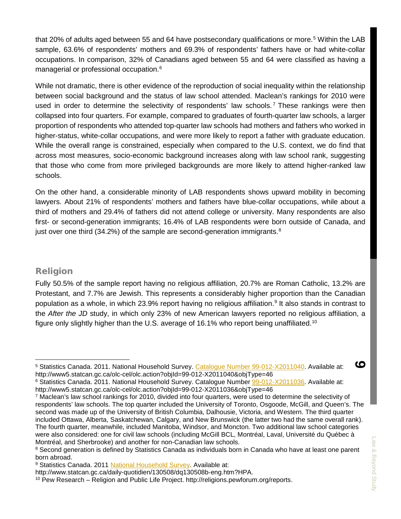that 20% of adults aged between [5](#page-10-1)5 and 64 have postsecondary qualifications or more.<sup>5</sup> Within the LAB sample, 63.6% of respondents' mothers and 69.3% of respondents' fathers have or had white-collar occupations. In comparison, 32% of Canadians aged between 55 and 64 were classified as having a managerial or professional occupation.<sup>6</sup>

While not dramatic, there is other evidence of the reproduction of social inequality within the relationship between social background and the status of law school attended. Maclean's rankings for 2010 were used in order to determine the selectivity of respondents' law schools.<sup>[7](#page-10-3)</sup> These rankings were then collapsed into four quarters. For example, compared to graduates of fourth-quarter law schools, a larger proportion of respondents who attended top-quarter law schools had mothers and fathers who worked in higher-status, white-collar occupations, and were more likely to report a father with graduate education. While the overall range is constrained, especially when compared to the U.S. context, we do find that across most measures, socio-economic background increases along with law school rank, suggesting that those who come from more privileged backgrounds are more likely to attend higher-ranked law schools.

On the other hand, a considerable minority of LAB respondents shows upward mobility in becoming lawyers. About 21% of respondents' mothers and fathers have blue-collar occupations, while about a third of mothers and 29.4% of fathers did not attend college or university. Many respondents are also first- or second-generation immigrants; 16.4% of LAB respondents were born outside of Canada, and just over one third  $(34.2%)$  of the sample are second-generation immigrants.<sup>[8](#page-10-4)</sup>

#### <span id="page-10-0"></span>Religion

Fully 50.5% of the sample report having no religious affiliation, 20.7% are Roman Catholic, 13.2% are Protestant, and 7.7% are Jewish. This represents a considerably higher proportion than the Canadian population as a whole, in which 23.[9](#page-10-5)% report having no religious affiliation.<sup>9</sup> It also stands in contrast to the *After the JD* study, in which only 23% of new American lawyers reported no religious affiliation, a figure only slightly higher than the U.S. average of 16.1% who report being unaffiliated.[10](#page-10-6)

<span id="page-10-1"></span> <sup>5</sup> Statistics Canada. 2011. National Household Survey. [Catalogue Number 99-012-X2011040.](http://www12.statcan.gc.ca/nhs-enm/2011/dp-pd/dt-td/Ap-eng.cfm?LANG=E&APATH=3&DETAIL=0&DIM=0&FL=A&FREE=0&GC=0&GID=0&GK=0&GRP=0&PID=105910&PRID=0&PTYPE=105277&S=0&SHOWALL=1&SUB=0&Temporal=2013&THEME=96&VID=0&VNAMEE=&VNAMEF=.) Available at: http://www5.statcan.gc.ca/olc-cel/olc.action?objId=99-012-X2011040&objType=46

<span id="page-10-2"></span><sup>6</sup> Statistics Canada. 2011. National Household Survey. Catalogue Number [99-012-X2011036.](http://www12.statcan.gc.ca/nhs-enm/2011/dp-pd/dt-td/Ap-eng.cfm?LANG=E&APATH=3&DETAIL=0&DIM=0&FL=A&FREE=0&GC=0&GID=0&GK=0&GRP=0&PID=105613&PRID=0&PTYPE=105277&S=0&SHOWALL=1&SUB=0&Temporal=2013&THEME=96&VID=0&VNAMEE=&VNAMEF=.) Available at: http://www5.statcan.gc.ca/olc-cel/olc.action?objId=99-012-X2011036&objType=46

<span id="page-10-3"></span><sup>7</sup> Maclean's law school rankings for 2010, divided into four quarters, were used to determine the selectivity of respondents' law schools. The top quarter included the University of Toronto, Osgoode, McGill, and Queen's. The second was made up of the University of British Columbia, Dalhousie, Victoria, and Western. The third quarter included Ottawa, Alberta, Saskatchewan, Calgary, and New Brunswick (the latter two had the same overall rank). The fourth quarter, meanwhile, included Manitoba, Windsor, and Moncton. Two additional law school categories were also considered: one for civil law schools (including McGill BCL, Montréal, Laval, Université du Québec à Montréal, and Sherbrooke) and another for non-Canadian law schools.

<span id="page-10-4"></span><sup>&</sup>lt;sup>8</sup> Second generation is defined by Statistics Canada as individuals born in Canada who have at least one parent born abroad.

<span id="page-10-5"></span><sup>9</sup> Statistics Canada. 2011 [National Household Survey.](http://www.statcan.gc.ca/daily-quotidien/130508/dq130508b-eng.htm?HPA.) Available at:

http://www.statcan.gc.ca/daily-quotidien/130508/dq130508b-eng.htm?HPA.

<span id="page-10-6"></span><sup>10</sup> Pew Research – Religion and Public Life Project. http://religions.pewforum.org/reports.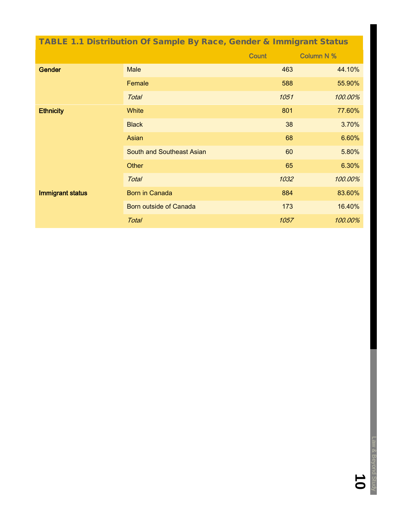<span id="page-11-0"></span>

| <b>TABLE 1.1 Distribution Of Sample By Race, Gender &amp; Immigrant Status</b> |                                  |              |                   |  |  |
|--------------------------------------------------------------------------------|----------------------------------|--------------|-------------------|--|--|
|                                                                                |                                  | <b>Count</b> | <b>Column N %</b> |  |  |
| <b>Gender</b>                                                                  | <b>Male</b>                      | 463          | 44.10%            |  |  |
|                                                                                | Female                           | 588          | 55.90%            |  |  |
|                                                                                | <b>Total</b>                     | 1051         | 100.00%           |  |  |
| <b>Ethnicity</b>                                                               | White                            | 801          | 77.60%            |  |  |
|                                                                                | <b>Black</b>                     | 38           | 3.70%             |  |  |
|                                                                                | Asian                            | 68           | 6.60%             |  |  |
|                                                                                | <b>South and Southeast Asian</b> | 60           | 5.80%             |  |  |
|                                                                                | Other                            | 65           | 6.30%             |  |  |
|                                                                                | <b>Total</b>                     | 1032         | 100.00%           |  |  |
| Immigrant status                                                               | <b>Born in Canada</b>            | 884          | 83.60%            |  |  |
|                                                                                | Born outside of Canada           | 173          | 16.40%            |  |  |
|                                                                                | <b>Total</b>                     | 1057         | 100.00%           |  |  |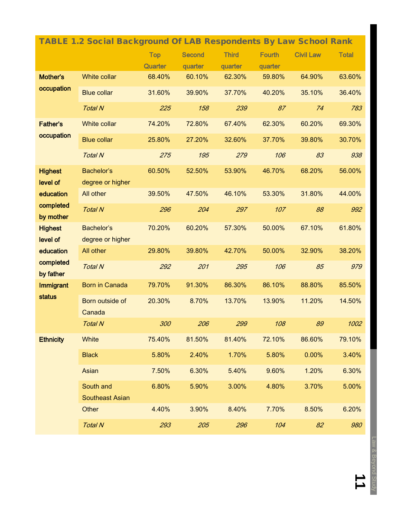<span id="page-12-0"></span>

| <b>TABLE 1.2 Social Background Of LAB Respondents By Law School Rank</b> |                                     |            |               |              |               |                  |              |
|--------------------------------------------------------------------------|-------------------------------------|------------|---------------|--------------|---------------|------------------|--------------|
|                                                                          |                                     | <b>Top</b> | <b>Second</b> | <b>Third</b> | <b>Fourth</b> | <b>Civil Law</b> | <b>Total</b> |
|                                                                          |                                     | Quarter    | quarter       | quarter      | quarter       |                  |              |
| Mother's                                                                 | White collar                        | 68.40%     | 60.10%        | 62.30%       | 59.80%        | 64.90%           | 63.60%       |
| occupation                                                               | <b>Blue collar</b>                  | 31.60%     | 39.90%        | 37.70%       | 40.20%        | 35.10%           | 36.40%       |
|                                                                          | <b>Total N</b>                      | 225        | 158           | 239          | 87            | 74               | 783          |
| <b>Father's</b>                                                          | <b>White collar</b>                 | 74.20%     | 72.80%        | 67.40%       | 62.30%        | 60.20%           | 69.30%       |
| occupation                                                               | <b>Blue collar</b>                  | 25.80%     | 27.20%        | 32.60%       | 37.70%        | 39.80%           | 30.70%       |
|                                                                          | <b>Total N</b>                      | 275        | 195           | 279          | 106           | 83               | 938          |
| <b>Highest</b>                                                           | Bachelor's                          | 60.50%     | 52.50%        | 53.90%       | 46.70%        | 68.20%           | 56.00%       |
| level of                                                                 | degree or higher                    |            |               |              |               |                  |              |
| education                                                                | All other                           | 39.50%     | 47.50%        | 46.10%       | 53.30%        | 31.80%           | 44.00%       |
| completed<br>by mother                                                   | <b>Total N</b>                      | 296        | 204           | 297          | 107           | 88               | 992          |
| <b>Highest</b>                                                           | Bachelor's                          | 70.20%     | 60.20%        | 57.30%       | 50.00%        | 67.10%           | 61.80%       |
| level of                                                                 | degree or higher                    |            |               |              |               |                  |              |
| education                                                                | All other                           | 29.80%     | 39.80%        | 42.70%       | 50.00%        | 32.90%           | 38.20%       |
| completed<br>by father                                                   | <b>Total N</b>                      | 292        | 201           | 295          | 106           | 85               | 979          |
| <b>Immigrant</b><br>status                                               | <b>Born in Canada</b>               | 79.70%     | 91.30%        | 86.30%       | 86.10%        | 88.80%           | 85.50%       |
|                                                                          | Born outside of<br>Canada           | 20.30%     | 8.70%         | 13.70%       | 13.90%        | 11.20%           | 14.50%       |
|                                                                          | <b>Total N</b>                      | 300        | 206           | 299          | 108           | 89               | 1002         |
| <b>Ethnicity</b>                                                         | White                               | 75.40%     | 81.50%        | 81.40%       | 72.10%        | 86.60%           | 79.10%       |
|                                                                          | <b>Black</b>                        | 5.80%      | 2.40%         | 1.70%        | 5.80%         | 0.00%            | 3.40%        |
|                                                                          | Asian                               | 7.50%      | 6.30%         | 5.40%        | 9.60%         | 1.20%            | 6.30%        |
|                                                                          | South and<br><b>Southeast Asian</b> | 6.80%      | 5.90%         | 3.00%        | 4.80%         | 3.70%            | 5.00%        |
|                                                                          | Other                               | 4.40%      | 3.90%         | 8.40%        | 7.70%         | 8.50%            | 6.20%        |
|                                                                          | <b>Total N</b>                      | 293        | 205           | 296          | 104           | 82               | 980          |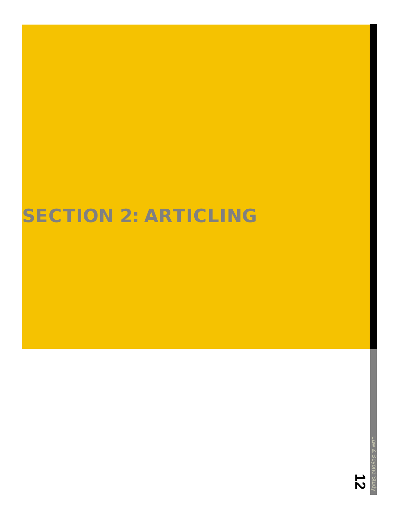## SECTION 2: ARTICLING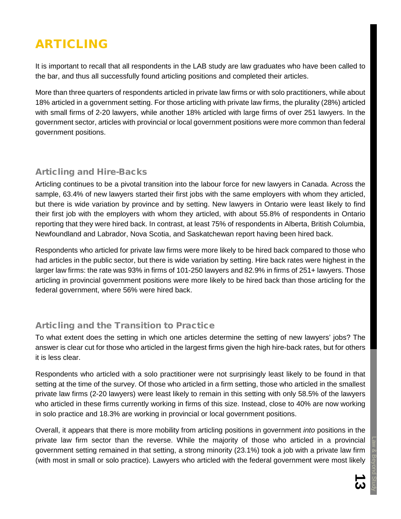## ARTICLING

It is important to recall that all respondents in the LAB study are law graduates who have been called to the bar, and thus all successfully found articling positions and completed their articles.

More than three quarters of respondents articled in private law firms or with solo practitioners, while about 18% articled in a government setting. For those articling with private law firms, the plurality (28%) articled with small firms of 2-20 lawyers, while another 18% articled with large firms of over 251 lawyers. In the government sector, articles with provincial or local government positions were more common than federal government positions.

#### <span id="page-14-0"></span>Articling and Hire-Backs

Articling continues to be a pivotal transition into the labour force for new lawyers in Canada. Across the sample, 63.4% of new lawyers started their first jobs with the same employers with whom they articled, but there is wide variation by province and by setting. New lawyers in Ontario were least likely to find their first job with the employers with whom they articled, with about 55.8% of respondents in Ontario reporting that they were hired back. In contrast, at least 75% of respondents in Alberta, British Columbia, Newfoundland and Labrador, Nova Scotia, and Saskatchewan report having been hired back.

Respondents who articled for private law firms were more likely to be hired back compared to those who had articles in the public sector, but there is wide variation by setting. Hire back rates were highest in the larger law firms: the rate was 93% in firms of 101-250 lawyers and 82.9% in firms of 251+ lawyers. Those articling in provincial government positions were more likely to be hired back than those articling for the federal government, where 56% were hired back.

#### <span id="page-14-1"></span>Articling and the Transition to Practice

To what extent does the setting in which one articles determine the setting of new lawyers' jobs? The answer is clear cut for those who articled in the largest firms given the high hire-back rates, but for others it is less clear.

Respondents who articled with a solo practitioner were not surprisingly least likely to be found in that setting at the time of the survey. Of those who articled in a firm setting, those who articled in the smallest private law firms (2-20 lawyers) were least likely to remain in this setting with only 58.5% of the lawyers who articled in these firms currently working in firms of this size. Instead, close to 40% are now working in solo practice and 18.3% are working in provincial or local government positions.

Overall, it appears that there is more mobility from articling positions in government *into* positions in the private law firm sector than the reverse. While the majority of those who articled in a provincial government setting remained in that setting, a strong minority (23.1%) took a job with a private law firm (with most in small or solo practice). Lawyers who articled with the federal government were most likely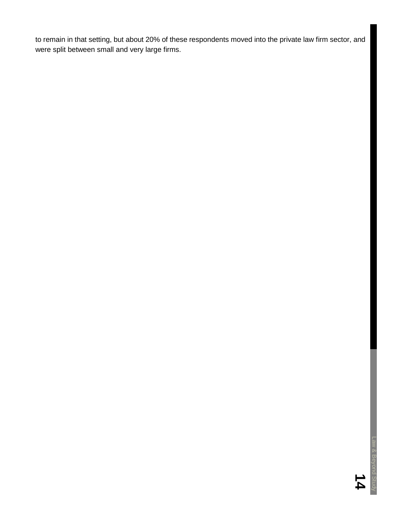to remain in that setting, but about 20% of these respondents moved into the private law firm sector, and were split between small and very large firms.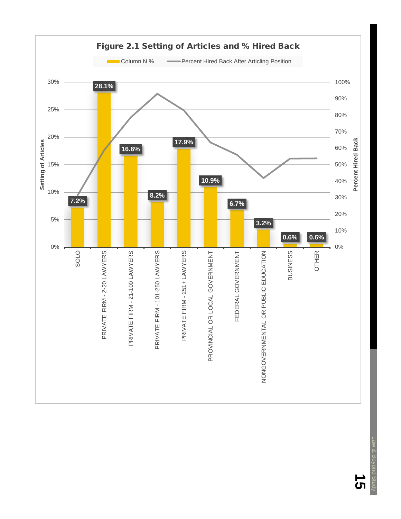<span id="page-16-0"></span>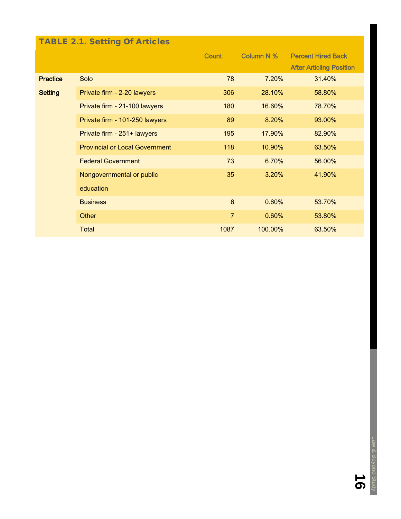### <span id="page-17-0"></span>TABLE 2.1. Setting Of Articles

|                 |                                       | Column N %<br>Count |         | <b>Percent Hired Back</b>       |
|-----------------|---------------------------------------|---------------------|---------|---------------------------------|
|                 |                                       |                     |         | <b>After Articling Position</b> |
| <b>Practice</b> | Solo                                  | 78                  | 7.20%   | 31.40%                          |
| <b>Setting</b>  | Private firm - 2-20 lawyers           | 306                 | 28.10%  | 58.80%                          |
|                 | Private firm - 21-100 lawyers         | 180                 | 16.60%  | 78.70%                          |
|                 | Private firm - 101-250 lawyers        | 89                  | 8.20%   | 93.00%                          |
|                 | Private firm - 251+ lawyers           | 195                 | 17.90%  | 82.90%                          |
|                 | <b>Provincial or Local Government</b> | 118                 | 10.90%  | 63.50%                          |
|                 | <b>Federal Government</b>             | 73                  | 6.70%   | 56.00%                          |
|                 | Nongovernmental or public             | 35                  | 3.20%   | 41.90%                          |
|                 | education                             |                     |         |                                 |
|                 | <b>Business</b>                       | $6\phantom{1}$      | 0.60%   | 53.70%                          |
|                 | Other                                 | $\overline{7}$      | 0.60%   | 53.80%                          |
|                 | <b>Total</b>                          | 1087                | 100.00% | 63.50%                          |

 $\overline{\mathbf{0}}$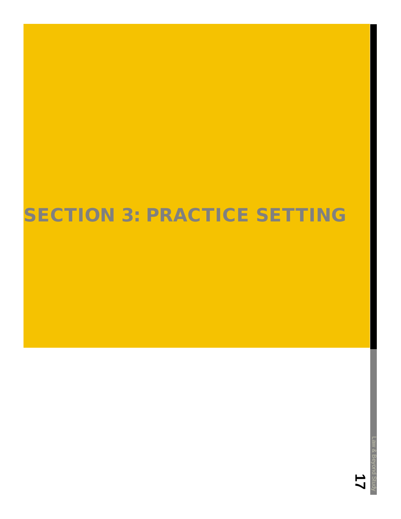#### <span id="page-18-0"></span> $\overline{\phantom{a}}$ 20.<br>20. projekt SECTION 3: PRACTICE SETTING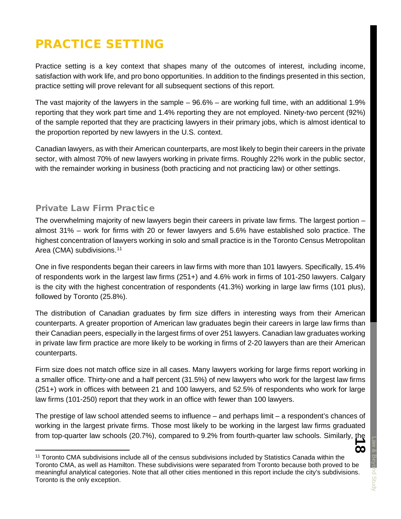## PRACTICE SETTING

Practice setting is a key context that shapes many of the outcomes of interest, including income, satisfaction with work life, and pro bono opportunities. In addition to the findings presented in this section, practice setting will prove relevant for all subsequent sections of this report.

The vast majority of the lawyers in the sample – 96.6% – are working full time, with an additional 1.9% reporting that they work part time and 1.4% reporting they are not employed. Ninety-two percent (92%) of the sample reported that they are practicing lawyers in their primary jobs, which is almost identical to the proportion reported by new lawyers in the U.S. context.

Canadian lawyers, as with their American counterparts, are most likely to begin their careers in the private sector, with almost 70% of new lawyers working in private firms. Roughly 22% work in the public sector, with the remainder working in business (both practicing and not practicing law) or other settings.

#### <span id="page-19-0"></span>Private Law Firm Practice

The overwhelming majority of new lawyers begin their careers in private law firms. The largest portion – almost 31% – work for firms with 20 or fewer lawyers and 5.6% have established solo practice. The highest concentration of lawyers working in solo and small practice is in the Toronto Census Metropolitan Area (CMA) subdivisions.<sup>[11](#page-19-1)</sup>

One in five respondents began their careers in law firms with more than 101 lawyers. Specifically, 15.4% of respondents work in the largest law firms (251+) and 4.6% work in firms of 101-250 lawyers. Calgary is the city with the highest concentration of respondents (41.3%) working in large law firms (101 plus), followed by Toronto (25.8%).

The distribution of Canadian graduates by firm size differs in interesting ways from their American counterparts. A greater proportion of American law graduates begin their careers in large law firms than their Canadian peers, especially in the largest firms of over 251 lawyers. Canadian law graduates working in private law firm practice are more likely to be working in firms of 2-20 lawyers than are their American counterparts.

Firm size does not match office size in all cases. Many lawyers working for large firms report working in a smaller office. Thirty-one and a half percent (31.5%) of new lawyers who work for the largest law firms (251+) work in offices with between 21 and 100 lawyers, and 52.5% of respondents who work for large law firms (101-250) report that they work in an office with fewer than 100 lawyers.

The prestige of law school attended seems to influence – and perhaps limit – a respondent's chances of working in the largest private firms. Those most likely to be working in the largest law firms graduated from top-quarter law schools (20.7%), compared to 9.2% from fourth-quarter law schools. Similarly, the

<span id="page-19-1"></span> <sup>11</sup> Toronto CMA subdivisions include all of the census subdivisions included by Statistics Canada within the Toronto CMA, as well as Hamilton. These subdivisions were separated from Toronto because both proved to be meaningful analytical categories. Note that all other cities mentioned in this report include the city's subdivisions. Toronto is the only exception.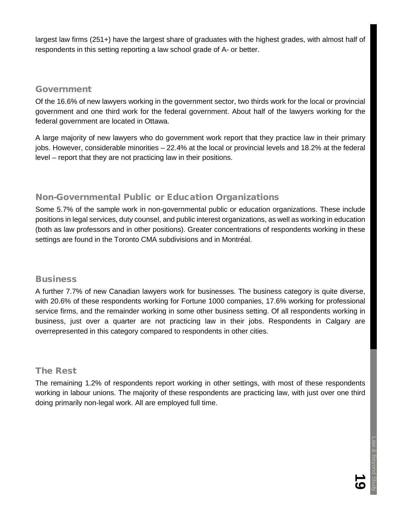largest law firms (251+) have the largest share of graduates with the highest grades, with almost half of respondents in this setting reporting a law school grade of A- or better.

#### <span id="page-20-0"></span>Government

Of the 16.6% of new lawyers working in the government sector, two thirds work for the local or provincial government and one third work for the federal government. About half of the lawyers working for the federal government are located in Ottawa.

A large majority of new lawyers who do government work report that they practice law in their primary jobs. However, considerable minorities – 22.4% at the local or provincial levels and 18.2% at the federal level – report that they are not practicing law in their positions.

#### <span id="page-20-1"></span>Non-Governmental Public or Education Organizations

Some 5.7% of the sample work in non-governmental public or education organizations. These include positions in legal services, duty counsel, and public interest organizations, as well as working in education (both as law professors and in other positions). Greater concentrations of respondents working in these settings are found in the Toronto CMA subdivisions and in Montréal.

#### <span id="page-20-2"></span>**Business**

A further 7.7% of new Canadian lawyers work for businesses. The business category is quite diverse, with 20.6% of these respondents working for Fortune 1000 companies, 17.6% working for professional service firms, and the remainder working in some other business setting. Of all respondents working in business, just over a quarter are not practicing law in their jobs. Respondents in Calgary are overrepresented in this category compared to respondents in other cities.

#### <span id="page-20-3"></span>The Rest

The remaining 1.2% of respondents report working in other settings, with most of these respondents working in labour unions. The majority of these respondents are practicing law, with just over one third doing primarily non-legal work. All are employed full time.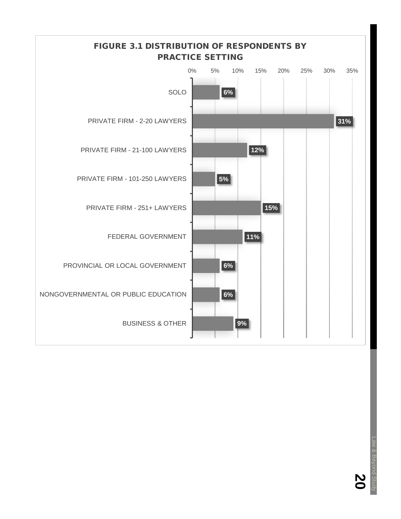<span id="page-21-0"></span>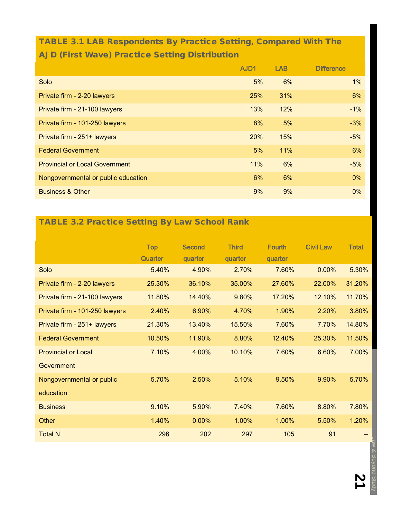### <span id="page-22-0"></span>TABLE 3.1 LAB Respondents By Practice Setting, Compared With The AJD (First Wave) Practice Setting Distribution

|                                       | AJD1       | <b>LAB</b> | <b>Difference</b> |
|---------------------------------------|------------|------------|-------------------|
| Solo                                  | 5%         | 6%         | 1%                |
| Private firm - 2-20 lawyers           | 25%        | 31%        | 6%                |
| Private firm - 21-100 lawyers         | 13%        | 12%        | $-1\%$            |
| Private firm - 101-250 lawyers        | 8%         | 5%         | $-3%$             |
| Private firm - 251+ lawyers           | <b>20%</b> | 15%        | $-5%$             |
| <b>Federal Government</b>             | 5%         | 11%        | 6%                |
| <b>Provincial or Local Government</b> | 11%        | 6%         | $-5%$             |
| Nongovernmental or public education   | 6%         | 6%         | $0\%$             |
| <b>Business &amp; Other</b>           | 9%         | 9%         | $0\%$             |

### <span id="page-22-1"></span>TABLE 3.2 Practice Setting By Law School Rank

|                                | <b>Top</b> | <b>Second</b> | <b>Third</b> | <b>Fourth</b> | <b>Civil Law</b> | <b>Total</b> |
|--------------------------------|------------|---------------|--------------|---------------|------------------|--------------|
|                                | Quarter    | quarter       | quarter      | quarter       |                  |              |
| Solo                           | 5.40%      | 4.90%         | 2.70%        | 7.60%         | 0.00%            | 5.30%        |
| Private firm - 2-20 lawyers    | 25.30%     | 36.10%        | 35.00%       | 27.60%        | 22.00%           | 31.20%       |
| Private firm - 21-100 lawyers  | 11.80%     | 14.40%        | 9.80%        | 17.20%        | 12.10%           | 11.70%       |
| Private firm - 101-250 lawyers | 2.40%      | 6.90%         | 4.70%        | 1.90%         | 2.20%            | 3.80%        |
| Private firm - 251+ lawyers    | 21.30%     | 13.40%        | 15.50%       | 7.60%         | 7.70%            | 14.80%       |
| <b>Federal Government</b>      | 10.50%     | 11.90%        | 8.80%        | 12.40%        | 25.30%           | 11.50%       |
| <b>Provincial or Local</b>     | 7.10%      | 4.00%         | 10.10%       | 7.60%         | 6.60%            | 7.00%        |
| Government                     |            |               |              |               |                  |              |
| Nongovernmental or public      | 5.70%      | 2.50%         | 5.10%        | 9.50%         | 9.90%            | 5.70%        |
| education                      |            |               |              |               |                  |              |
| <b>Business</b>                | 9.10%      | 5.90%         | 7.40%        | 7.60%         | 8.80%            | 7.80%        |
| Other                          | 1.40%      | 0.00%         | 1.00%        | 1.00%         | 5.50%            | 1.20%        |
| <b>Total N</b>                 | 296        | 202           | 297          | 105           | 91               | --           |
|                                |            |               |              |               |                  |              |
|                                |            |               |              |               |                  |              |
|                                |            |               |              |               |                  |              |
|                                |            |               |              |               |                  |              |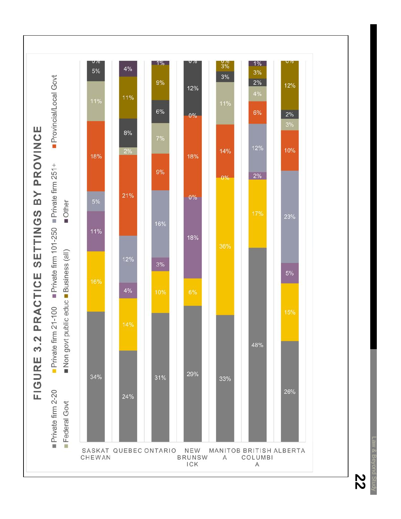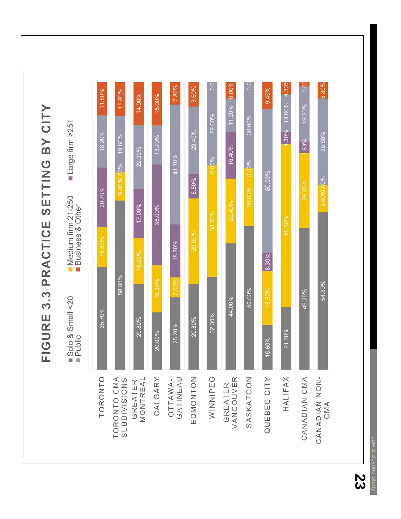Law & Beyond Study ond Study

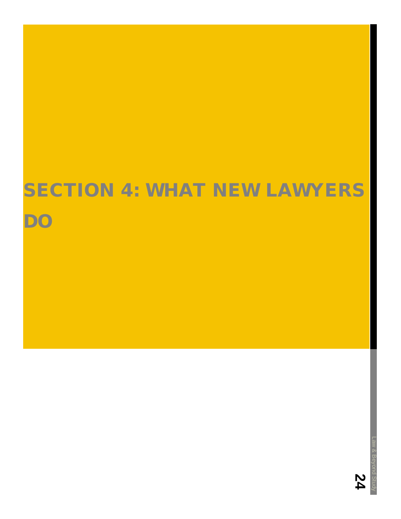# SECTION 4: WHAT NEW LAWYERS

DO

**24**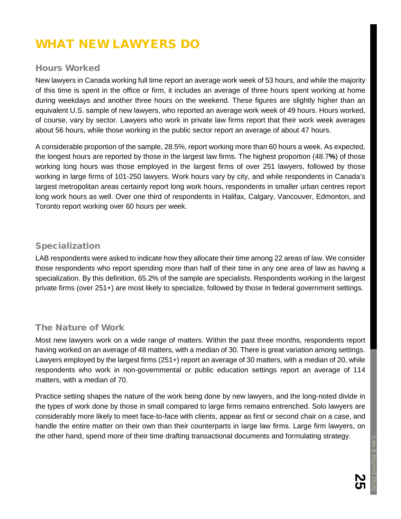## WHAT NEW LAWYERS DO

#### <span id="page-26-0"></span>Hours Worked

New lawyers in Canada working full time report an average work week of 53 hours, and while the majority of this time is spent in the office or firm, it includes an average of three hours spent working at home during weekdays and another three hours on the weekend. These figures are slightly higher than an equivalent U.S. sample of new lawyers, who reported an average work week of 49 hours. Hours worked, of course, vary by sector. Lawyers who work in private law firms report that their work week averages about 56 hours, while those working in the public sector report an average of about 47 hours.

A considerable proportion of the sample, 28.5%, report working more than 60 hours a week. As expected, the longest hours are reported by those in the largest law firms. The highest proportion (48.7**%**) of those working long hours was those employed in the largest firms of over 251 lawyers, followed by those working in large firms of 101-250 lawyers. Work hours vary by city, and while respondents in Canada's largest metropolitan areas certainly report long work hours, respondents in smaller urban centres report long work hours as well. Over one third of respondents in Halifax, Calgary, Vancouver, Edmonton, and Toronto report working over 60 hours per week.

#### <span id="page-26-1"></span>Specialization

LAB respondents were asked to indicate how they allocate their time among 22 areas of law. We consider those respondents who report spending more than half of their time in any one area of law as having a specialization. By this definition, 65.2% of the sample are specialists. Respondents working in the largest private firms (over 251+) are most likely to specialize, followed by those in federal government settings.

#### <span id="page-26-2"></span>The Nature of Work

Most new lawyers work on a wide range of matters. Within the past three months, respondents report having worked on an average of 48 matters, with a median of 30. There is great variation among settings. Lawyers employed by the largest firms (251+) report an average of 30 matters, with a median of 20, while respondents who work in non-governmental or public education settings report an average of 114 matters, with a median of 70.

Practice setting shapes the nature of the work being done by new lawyers, and the long-noted divide in the types of work done by those in small compared to large firms remains entrenched. Solo lawyers are considerably more likely to meet face-to-face with clients, appear as first or second chair on a case, and handle the entire matter on their own than their counterparts in large law firms. Large firm lawyers, on the other hand, spend more of their time drafting transactional documents and formulating strategy.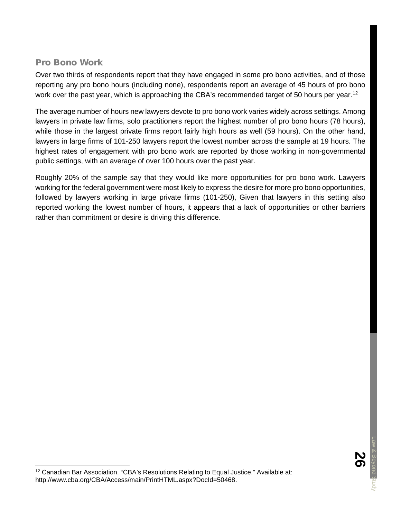#### <span id="page-27-0"></span>Pro Bono Work

Over two thirds of respondents report that they have engaged in some pro bono activities, and of those reporting any pro bono hours (including none), respondents report an average of 45 hours of pro bono work over the past year, which is approaching the CBA's recommended target of 50 hours per year.<sup>[12](#page-27-1)</sup>

The average number of hours new lawyers devote to pro bono work varies widely across settings. Among lawyers in private law firms, solo practitioners report the highest number of pro bono hours (78 hours), while those in the largest private firms report fairly high hours as well (59 hours). On the other hand, lawyers in large firms of 101-250 lawyers report the lowest number across the sample at 19 hours. The highest rates of engagement with pro bono work are reported by those working in non-governmental public settings, with an average of over 100 hours over the past year.

Roughly 20% of the sample say that they would like more opportunities for pro bono work. Lawyers working for the federal government were most likely to express the desire for more pro bono opportunities, followed by lawyers working in large private firms (101-250), Given that lawyers in this setting also reported working the lowest number of hours, it appears that a lack of opportunities or other barriers rather than commitment or desire is driving this difference.

<span id="page-27-1"></span><sup>&</sup>lt;sup>12</sup> Canadian Bar Association. "CBA's Resolutions Relating to Equal Justice." Available at: http://www.cba.org/CBA/Access/main/PrintHTML.aspx?DocId=50468.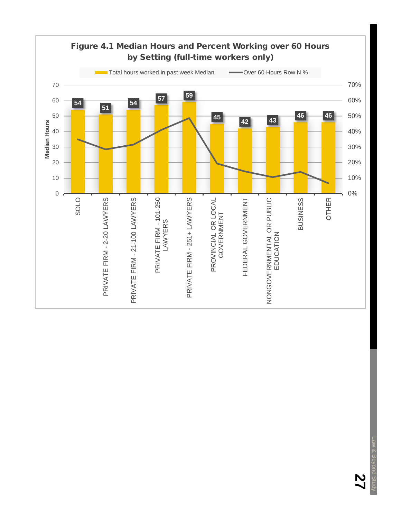<span id="page-28-0"></span>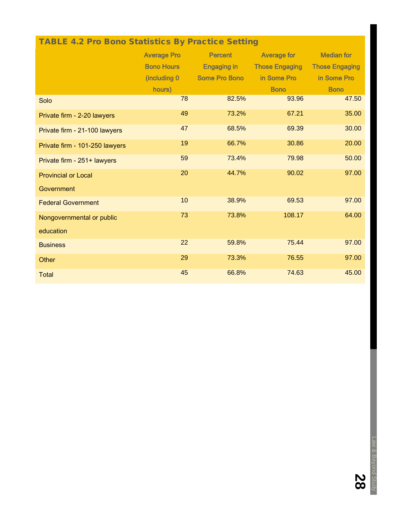## <span id="page-29-0"></span>TABLE 4.2 Pro Bono Statistics By Practice Setting

|                                | <b>Average Pro</b> | <b>Percent</b>       | <b>Average for</b>    | <b>Median for</b>     |  |
|--------------------------------|--------------------|----------------------|-----------------------|-----------------------|--|
|                                | <b>Bono Hours</b>  | <b>Engaging in</b>   | <b>Those Engaging</b> | <b>Those Engaging</b> |  |
|                                | (including 0)      | <b>Some Pro Bono</b> | in Some Pro           | in Some Pro           |  |
|                                | hours)             |                      | <b>Bono</b>           | <b>Bono</b>           |  |
| Solo                           | 78                 | 82.5%                | 93.96                 | 47.50                 |  |
| Private firm - 2-20 lawyers    | 49                 | 73.2%                | 67.21                 | 35.00                 |  |
| Private firm - 21-100 lawyers  | 47                 | 68.5%                | 69.39                 | 30.00                 |  |
| Private firm - 101-250 lawyers | 19                 | 66.7%                | 30.86                 | 20.00                 |  |
| Private firm - 251+ lawyers    | 59                 | 73.4%                | 79.98                 | 50.00                 |  |
| <b>Provincial or Local</b>     | 20                 | 44.7%                | 90.02                 | 97.00                 |  |
| Government                     |                    |                      |                       |                       |  |
| <b>Federal Government</b>      | 10                 | 38.9%                | 69.53                 | 97.00                 |  |
| Nongovernmental or public      | 73                 | 73.8%                | 108.17                | 64.00                 |  |
| education                      |                    |                      |                       |                       |  |
| <b>Business</b>                | 22                 | 59.8%                | 75.44                 | 97.00                 |  |
| Other                          | 29                 | 73.3%                | 76.55                 | 97.00                 |  |
| <b>Total</b>                   | 45                 | 66.8%                | 74.63                 | 45.00                 |  |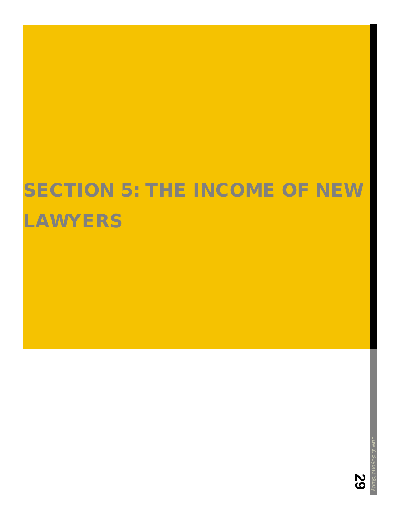# SECTION 5: THE INCOME OF NEW LAWYERS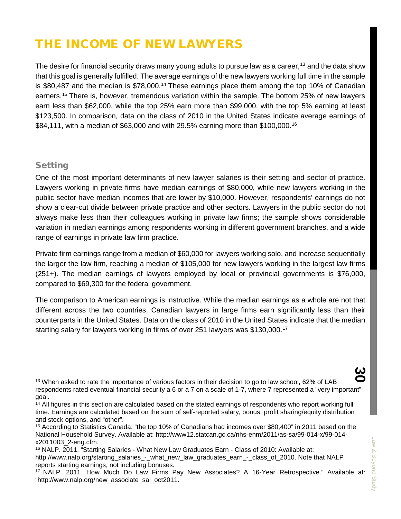## THE INCOME OF NEW LAWYERS

The desire for financial security draws many young adults to pursue law as a career,  $13$  and the data show that this goal is generally fulfilled. The average earnings of the new lawyers working full time in the sample is \$80,487 and the median is  $$78,000$ .<sup>[14](#page-31-2)</sup> These earnings place them among the top 10% of Canadian earners.[15](#page-31-3) There is, however, tremendous variation within the sample. The bottom 25% of new lawyers earn less than \$62,000, while the top 25% earn more than \$99,000, with the top 5% earning at least \$123,500. In comparison, data on the class of 2010 in the United States indicate average earnings of \$84,111, with a median of \$63,000 and with 29.5% earning more than \$100,000.[16](#page-31-4)

#### <span id="page-31-0"></span>**Setting**

One of the most important determinants of new lawyer salaries is their setting and sector of practice. Lawyers working in private firms have median earnings of \$80,000, while new lawyers working in the public sector have median incomes that are lower by \$10,000. However, respondents' earnings do not show a clear-cut divide between private practice and other sectors. Lawyers in the public sector do not always make less than their colleagues working in private law firms; the sample shows considerable variation in median earnings among respondents working in different government branches, and a wide range of earnings in private law firm practice.

Private firm earnings range from a median of \$60,000 for lawyers working solo, and increase sequentially the larger the law firm, reaching a median of \$105,000 for new lawyers working in the largest law firms (251+). The median earnings of lawyers employed by local or provincial governments is \$76,000, compared to \$69,300 for the federal government.

The comparison to American earnings is instructive. While the median earnings as a whole are not that different across the two countries, Canadian lawyers in large firms earn significantly less than their counterparts in the United States. Data on the class of 2010 in the United States indicate that the median starting salary for lawyers working in firms of over 251 lawyers was \$130,000.[17](#page-31-5)

<span id="page-31-1"></span><sup>&</sup>lt;sup>13</sup> When asked to rate the importance of various factors in their decision to go to law school, 62% of LAB respondents rated eventual financial security a 6 or a 7 on a scale of 1-7, where 7 represented a "very important" goal.

<span id="page-31-2"></span> $14$  All figures in this section are calculated based on the stated earnings of respondents who report working full time. Earnings are calculated based on the sum of self-reported salary, bonus, profit sharing/equity distribution and stock options, and "other".

<span id="page-31-3"></span><sup>15</sup> According to Statistics Canada, "the top 10% of Canadians had incomes over \$80,400" in 2011 based on the National Household Survey. Available at: http://www12.statcan.gc.ca/nhs-enm/2011/as-sa/99-014-x/99-014 x2011003\_2-eng.cfm.

<span id="page-31-4"></span><sup>16</sup> NALP. 2011. "Starting Salaries - What New Law Graduates Earn - Class of 2010: Available at: http://www.nalp.org/starting\_salaries\_-\_what\_new\_law\_graduates\_earn\_-\_class\_of\_2010. Note that NALP reports starting earnings, not including bonuses.

<span id="page-31-5"></span><sup>17</sup> NALP. 2011. How Much Do Law Firms Pay New Associates? A 16-Year Retrospective." Available at: "http://www.nalp.org/new\_associate\_sal\_oct2011.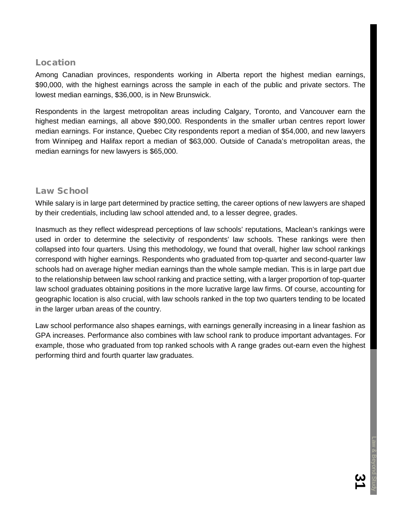#### <span id="page-32-0"></span>Location

Among Canadian provinces, respondents working in Alberta report the highest median earnings, \$90,000, with the highest earnings across the sample in each of the public and private sectors. The lowest median earnings, \$36,000, is in New Brunswick.

Respondents in the largest metropolitan areas including Calgary, Toronto, and Vancouver earn the highest median earnings, all above \$90,000. Respondents in the smaller urban centres report lower median earnings. For instance, Quebec City respondents report a median of \$54,000, and new lawyers from Winnipeg and Halifax report a median of \$63,000. Outside of Canada's metropolitan areas, the median earnings for new lawyers is \$65,000.

#### <span id="page-32-1"></span>Law School

While salary is in large part determined by practice setting, the career options of new lawyers are shaped by their credentials, including law school attended and, to a lesser degree, grades.

Inasmuch as they reflect widespread perceptions of law schools' reputations, Maclean's rankings were used in order to determine the selectivity of respondents' law schools. These rankings were then collapsed into four quarters. Using this methodology, we found that overall, higher law school rankings correspond with higher earnings. Respondents who graduated from top-quarter and second-quarter law schools had on average higher median earnings than the whole sample median. This is in large part due to the relationship between law school ranking and practice setting, with a larger proportion of top-quarter law school graduates obtaining positions in the more lucrative large law firms. Of course, accounting for geographic location is also crucial, with law schools ranked in the top two quarters tending to be located in the larger urban areas of the country.

Law school performance also shapes earnings, with earnings generally increasing in a linear fashion as GPA increases. Performance also combines with law school rank to produce important advantages. For example, those who graduated from top ranked schools with A range grades out-earn even the highest performing third and fourth quarter law graduates.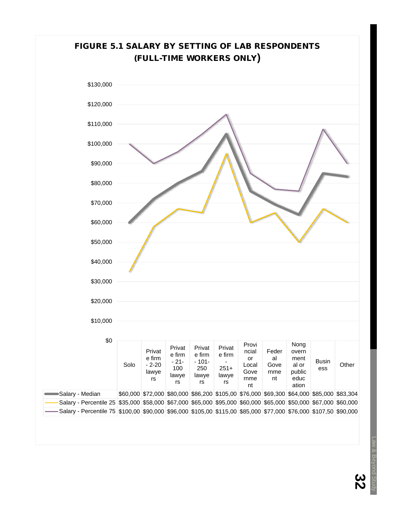<span id="page-33-0"></span>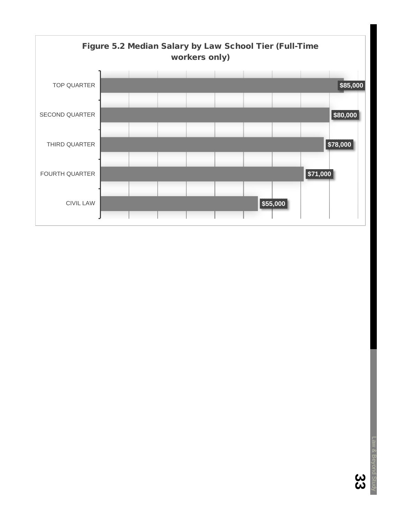<span id="page-34-0"></span>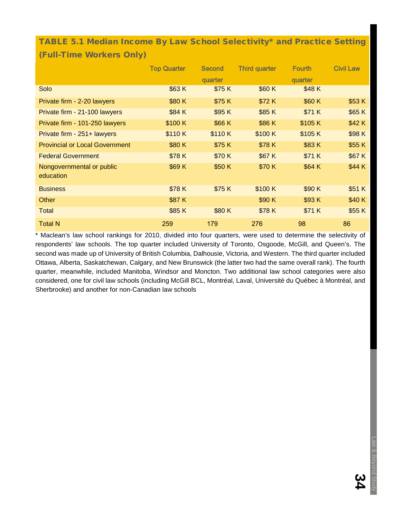### <span id="page-35-0"></span>TABLE 5.1 Median Income By Law School Selectivity\* and Practice Setting (Full-Time Workers Only)

|                                       | <b>Top Quarter</b> | <b>Second</b> | <b>Third quarter</b> | <b>Fourth</b> | <b>Civil Law</b> |
|---------------------------------------|--------------------|---------------|----------------------|---------------|------------------|
|                                       |                    | quarter       |                      | quarter       |                  |
| Solo                                  | \$63K              | \$75K         | \$60 K               | \$48 K        |                  |
| Private firm - 2-20 lawyers           | \$80K              | \$75 K        | \$72K                | \$60 K        | \$53 K           |
| Private firm - 21-100 lawyers         | \$84 K             | \$95 K        | \$85 K               | \$71 K        | \$65 K           |
| Private firm - 101-250 lawyers        | \$100K             | \$66 K        | \$86 K               | \$105 K       | \$42K            |
| Private firm - 251+ lawyers           | \$110K             | \$110K        | \$100K               | \$105 K       | \$98K            |
| <b>Provincial or Local Government</b> | \$80K              | \$75K         | \$78K                | \$83K         | \$55 K           |
| <b>Federal Government</b>             | \$78K              | \$70 K        | \$67 K               | \$71 K        | \$67 K           |
| Nongovernmental or public             | \$69 K             | \$50 K        | \$70 K               | \$64 K        | \$44 K           |
| education                             |                    |               |                      |               |                  |
| <b>Business</b>                       | \$78K              | \$75 K        | \$100 K              | \$90 K        | \$51 K           |
| Other                                 | \$87 K             |               | \$90 K               | \$93K         | \$40 K           |
| <b>Total</b>                          | \$85K              | \$80K         | \$78K                | \$71 K        | \$55 K           |
| <b>Total N</b>                        | 259                | 179           | 276                  | 98            | 86               |

\* Maclean's law school rankings for 2010, divided into four quarters, were used to determine the selectivity of respondents' law schools. The top quarter included University of Toronto, Osgoode, McGill, and Queen's. The second was made up of University of British Columbia, Dalhousie, Victoria, and Western. The third quarter included Ottawa, Alberta, Saskatchewan, Calgary, and New Brunswick (the latter two had the same overall rank). The fourth quarter, meanwhile, included Manitoba, Windsor and Moncton. Two additional law school categories were also considered, one for civil law schools (including McGill BCL, Montréal, Laval, Université du Québec à Montréal, and Sherbrooke) and another for non-Canadian law schools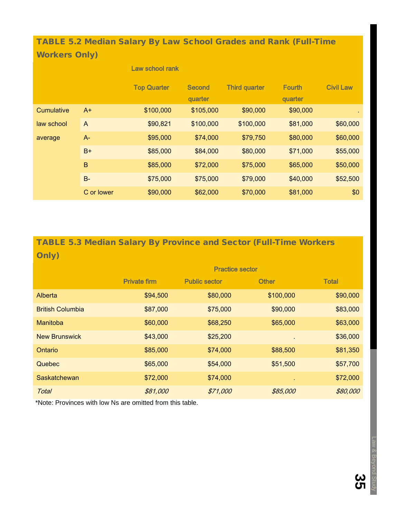TABLE 5.2 Median Salary By Law School Grades and Rank (Full-Time Workers Only)

|            |             | Law school rank    |               |                      |               |                  |
|------------|-------------|--------------------|---------------|----------------------|---------------|------------------|
|            |             | <b>Top Quarter</b> | <b>Second</b> | <b>Third quarter</b> | <b>Fourth</b> | <b>Civil Law</b> |
|            |             |                    | quarter       |                      | quarter       |                  |
| Cumulative | $A+$        | \$100,000          | \$105,000     | \$90,000             | \$90,000      |                  |
| law school | A           | \$90,821           | \$100,000     | \$100,000            | \$81,000      | \$60,000         |
| average    | A-          | \$95,000           | \$74,000      | \$79,750             | \$80,000      | \$60,000         |
|            | $B+$        | \$85,000           | \$84,000      | \$80,000             | \$71,000      | \$55,000         |
|            | $\mathsf B$ | \$85,000           | \$72,000      | \$75,000             | \$65,000      | \$50,000         |
|            | $B -$       | \$75,000           | \$75,000      | \$79,000             | \$40,000      | \$52,500         |
|            | C or lower  | \$90,000           | \$62,000      | \$70,000             | \$81,000      | \$0              |

## TABLE 5.3 Median Salary By Province and Sector (Full-Time Workers Only)

|                         | <b>Practice sector</b> |                      |              |              |  |
|-------------------------|------------------------|----------------------|--------------|--------------|--|
|                         | <b>Private firm</b>    | <b>Public sector</b> | <b>Other</b> | <b>Total</b> |  |
| Alberta                 | \$94,500               | \$80,000             | \$100,000    | \$90,000     |  |
| <b>British Columbia</b> | \$87,000               | \$75,000             | \$90,000     | \$83,000     |  |
| Manitoba                | \$60,000               | \$68,250             | \$65,000     | \$63,000     |  |
| <b>New Brunswick</b>    | \$43,000               | \$25,200             |              | \$36,000     |  |
| Ontario                 | \$85,000               | \$74,000             | \$88,500     | \$81,350     |  |
| Quebec                  | \$65,000               | \$54,000             | \$51,500     | \$57,700     |  |
| Saskatchewan            | \$72,000               | \$74,000             |              | \$72,000     |  |
| <b>Total</b>            | \$81,000               | \$71,000             | \$85,000     | \$80,000     |  |

\*Note: Provinces with low Ns are omitted from this table.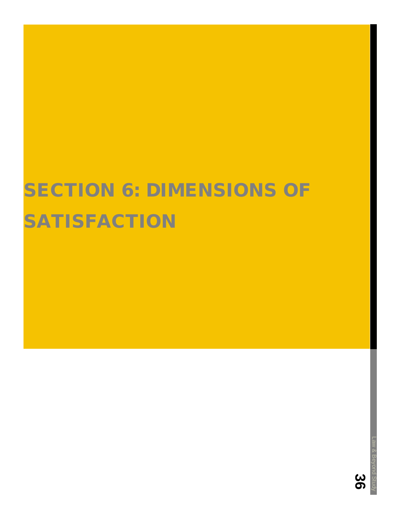# **SECTION 6: DIMENSIONS OF SATISFACTION**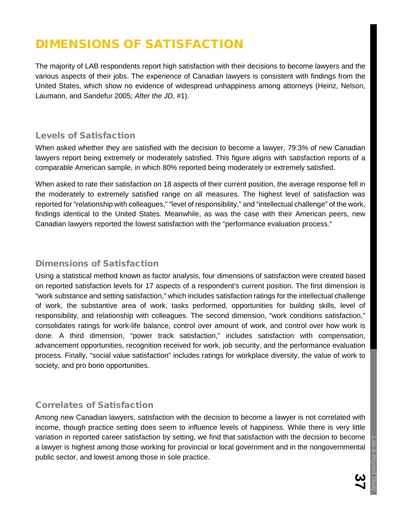## DIMENSIONS OF SATISFACTION

The majority of LAB respondents report high satisfaction with their decisions to become lawyers and the various aspects of their jobs. The experience of Canadian lawyers is consistent with findings from the United States, which show no evidence of widespread unhappiness among attorneys (Heinz, Nelson, Laumann, and Sandefur 2005; *After the JD*, #1).

## Levels of Satisfaction

When asked whether they are satisfied with the decision to become a lawyer, 79.3% of new Canadian lawyers report being extremely or moderately satisfied. This figure aligns with satisfaction reports of a comparable American sample, in which 80% reported being moderately or extremely satisfied.

When asked to rate their satisfaction on 18 aspects of their current position, the average response fell in the moderately to extremely satisfied range on all measures. The highest level of satisfaction was reported for "relationship with colleagues," "level of responsibility," and "intellectual challenge" of the work, findings identical to the United States. Meanwhile, as was the case with their American peers, new Canadian lawyers reported the lowest satisfaction with the "performance evaluation process."

#### Dimensions of Satisfaction

Using a statistical method known as factor analysis, four dimensions of satisfaction were created based on reported satisfaction levels for 17 aspects of a respondent's current position. The first dimension is "work substance and setting satisfaction," which includes satisfaction ratings for the intellectual challenge of work, the substantive area of work, tasks performed, opportunities for building skills, level of responsibility, and relationship with colleagues. The second dimension, "work conditions satisfaction," consolidates ratings for work-life balance, control over amount of work, and control over how work is done. A third dimension, "power track satisfaction," includes satisfaction with compensation, advancement opportunities, recognition received for work, job security, and the performance evaluation process. Finally, "social value satisfaction" includes ratings for workplace diversity, the value of work to society, and pro bono opportunities.

## Correlates of Satisfaction

Among new Canadian lawyers, satisfaction with the decision to become a lawyer is not correlated with income, though practice setting does seem to influence levels of happiness. While there is very little variation in reported career satisfaction by setting, we find that satisfaction with the decision to become a lawyer is highest among those working for provincial or local government and in the nongovernmental public sector, and lowest among those in sole practice.

Law & Beyond Study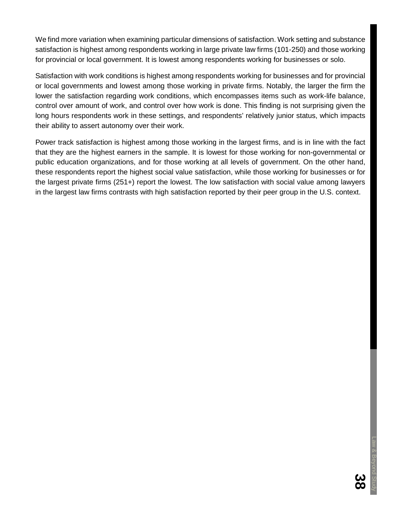We find more variation when examining particular dimensions of satisfaction. Work setting and substance satisfaction is highest among respondents working in large private law firms (101-250) and those working for provincial or local government. It is lowest among respondents working for businesses or solo.

Satisfaction with work conditions is highest among respondents working for businesses and for provincial or local governments and lowest among those working in private firms. Notably, the larger the firm the lower the satisfaction regarding work conditions, which encompasses items such as work-life balance, control over amount of work, and control over how work is done. This finding is not surprising given the long hours respondents work in these settings, and respondents' relatively junior status, which impacts their ability to assert autonomy over their work.

Power track satisfaction is highest among those working in the largest firms, and is in line with the fact that they are the highest earners in the sample. It is lowest for those working for non-governmental or public education organizations, and for those working at all levels of government. On the other hand, these respondents report the highest social value satisfaction, while those working for businesses or for the largest private firms (251+) report the lowest. The low satisfaction with social value among lawyers in the largest law firms contrasts with high satisfaction reported by their peer group in the U.S. context.

 $\frac{2}{3}$ 

Law & Beyond Study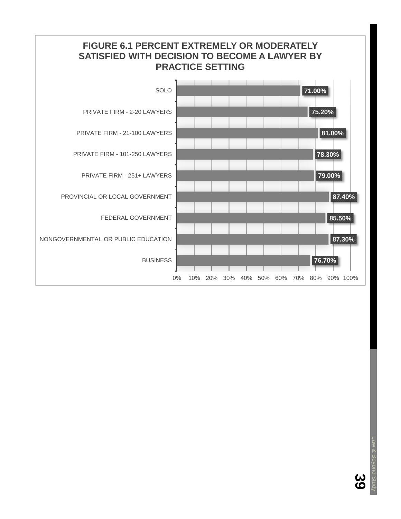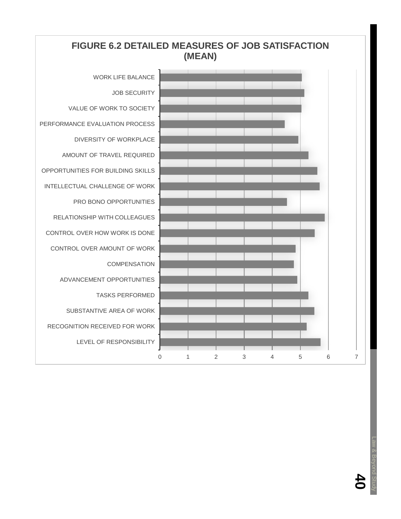## **FIGURE 6.2 DETAILED MEASURES OF JOB SATISFACTION (MEAN)**



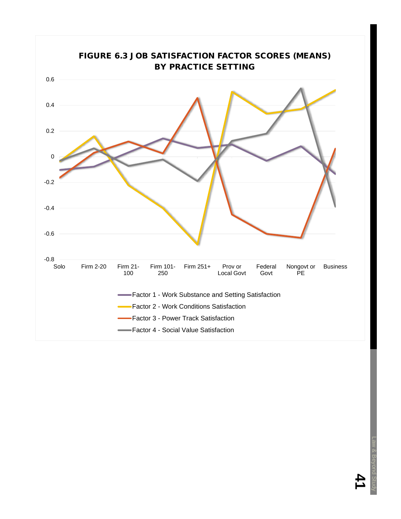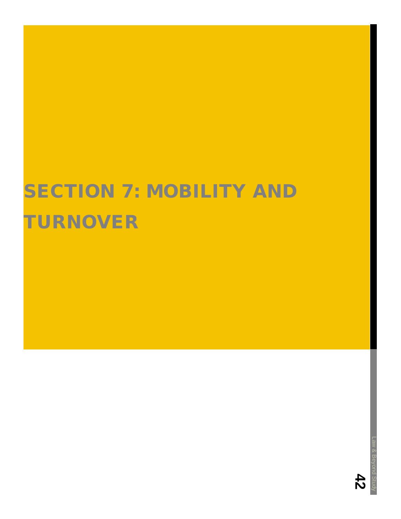# **SECTION 7: MOBILITY AND** TURNOVER

**42**

Law & Beyond Study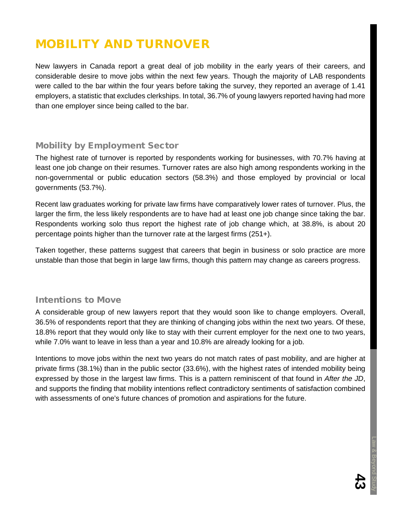## MOBILITY AND TURNOVER

New lawyers in Canada report a great deal of job mobility in the early years of their careers, and considerable desire to move jobs within the next few years. Though the majority of LAB respondents were called to the bar within the four years before taking the survey, they reported an average of 1.41 employers, a statistic that excludes clerkships. In total, 36.7% of young lawyers reported having had more than one employer since being called to the bar.

## Mobility by Employment Sector

The highest rate of turnover is reported by respondents working for businesses, with 70.7% having at least one job change on their resumes. Turnover rates are also high among respondents working in the non-governmental or public education sectors (58.3%) and those employed by provincial or local governments (53.7%).

Recent law graduates working for private law firms have comparatively lower rates of turnover. Plus, the larger the firm, the less likely respondents are to have had at least one job change since taking the bar. Respondents working solo thus report the highest rate of job change which, at 38.8%, is about 20 percentage points higher than the turnover rate at the largest firms (251+).

Taken together, these patterns suggest that careers that begin in business or solo practice are more unstable than those that begin in large law firms, though this pattern may change as careers progress.

## Intentions to Move

A considerable group of new lawyers report that they would soon like to change employers. Overall, 36.5% of respondents report that they are thinking of changing jobs within the next two years. Of these, 18.8% report that they would only like to stay with their current employer for the next one to two years, while 7.0% want to leave in less than a year and 10.8% are already looking for a job.

Intentions to move jobs within the next two years do not match rates of past mobility, and are higher at private firms (38.1%) than in the public sector (33.6%), with the highest rates of intended mobility being expressed by those in the largest law firms. This is a pattern reminiscent of that found in *After the JD*, and supports the finding that mobility intentions reflect contradictory sentiments of satisfaction combined with assessments of one's future chances of promotion and aspirations for the future.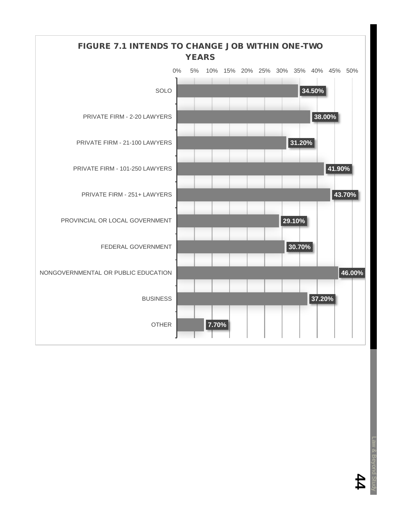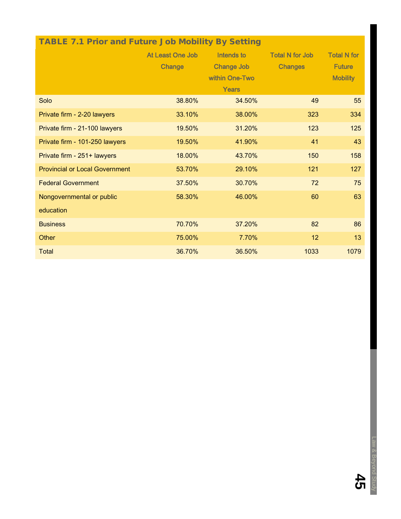| <b>TABLE 7.1 Prior and Future Job Mobility By Setting</b> |                            |                                                            |                                          |                                                        |
|-----------------------------------------------------------|----------------------------|------------------------------------------------------------|------------------------------------------|--------------------------------------------------------|
|                                                           | At Least One Job<br>Change | Intends to<br><b>Change Job</b><br>within One-Two<br>Years | <b>Total N for Job</b><br><b>Changes</b> | <b>Total N for</b><br><b>Future</b><br><b>Mobility</b> |
| Solo                                                      | 38.80%                     | 34.50%                                                     | 49                                       | 55                                                     |
| Private firm - 2-20 lawyers                               | 33.10%                     | 38.00%                                                     | 323                                      | 334                                                    |
| Private firm - 21-100 lawyers                             | 19.50%                     | 31.20%                                                     | 123                                      | 125                                                    |
| Private firm - 101-250 lawyers                            | 19.50%                     | 41.90%                                                     | 41                                       | 43                                                     |
| Private firm - 251+ lawyers                               | 18.00%                     | 43.70%                                                     | 150                                      | 158                                                    |
| <b>Provincial or Local Government</b>                     | 53.70%                     | 29.10%                                                     | 121                                      | 127                                                    |
| <b>Federal Government</b>                                 | 37.50%                     | 30.70%                                                     | 72                                       | 75                                                     |
| Nongovernmental or public                                 | 58.30%                     | 46.00%                                                     | 60                                       | 63                                                     |
| education                                                 |                            |                                                            |                                          |                                                        |
| <b>Business</b>                                           | 70.70%                     | 37.20%                                                     | 82                                       | 86                                                     |
| Other                                                     | 75.00%                     | 7.70%                                                      | 12                                       | 13                                                     |
| Total                                                     | 36.70%                     | 36.50%                                                     | 1033                                     | 1079                                                   |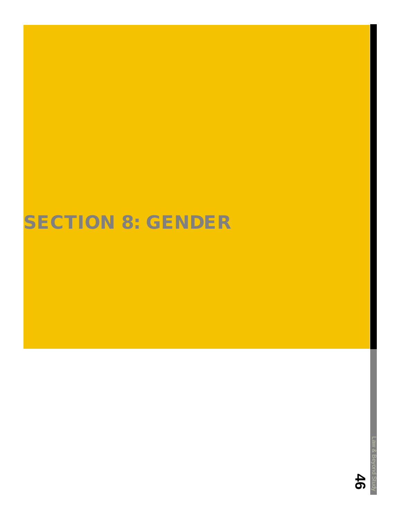# **SECTION 8: GENDER**

Law & Beyond Study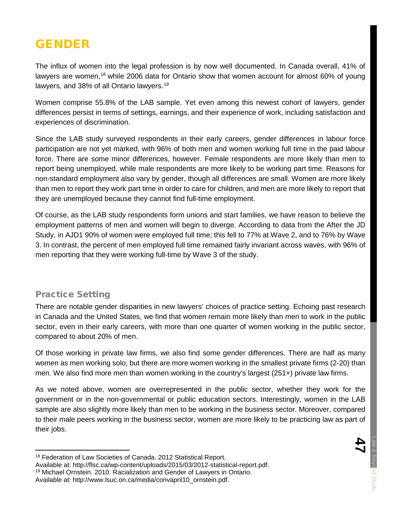## GENDER

The influx of women into the legal profession is by now well documented. In Canada overall, 41% of lawyers are women,<sup>[18](#page-48-0)</sup> while 2006 data for Ontario show that women account for almost 60% of young lawyers, and 38% of all Ontario lawyers.<sup>[19](#page-48-1)</sup>

Women comprise 55.8% of the LAB sample. Yet even among this newest cohort of lawyers, gender differences persist in terms of settings, earnings, and their experience of work, including satisfaction and experiences of discrimination.

Since the LAB study surveyed respondents in their early careers, gender differences in labour force participation are not yet marked, with 96% of both men and women working full time in the paid labour force. There are some minor differences, however. Female respondents are more likely than men to report being unemployed, while male respondents are more likely to be working part time. Reasons for non-standard employment also vary by gender, though all differences are small. Women are more likely than men to report they work part time in order to care for children, and men are more likely to report that they are unemployed because they cannot find full-time employment.

Of course, as the LAB study respondents form unions and start families, we have reason to believe the employment patterns of men and women will begin to diverge. According to data from the After the JD Study, in AJD1 90% of women were employed full time; this fell to 77% at Wave 2, and to 76% by Wave 3. In contrast, the percent of men employed full time remained fairly invariant across waves, with 96% of men reporting that they were working full-time by Wave 3 of the study.

## Practice Setting

There are notable gender disparities in new lawyers' choices of practice setting. Echoing past research in Canada and the United States, we find that women remain more likely than men to work in the public sector, even in their early careers, with more than one quarter of women working in the public sector, compared to about 20% of men.

Of those working in private law firms, we also find some gender differences. There are half as many women as men working solo, but there are more women working in the smallest private firms (2-20) than men. We also find more men than women working in the country's largest (251+) private law firms.

As we noted above, women are overrepresented in the public sector, whether they work for the government or in the non-governmental or public education sectors. Interestingly, women in the LAB sample are also slightly more likely than men to be working in the business sector. Moreover, compared to their male peers working in the business sector, women are more likely to be practicing law as part of their jobs.

<span id="page-48-0"></span> <sup>18</sup> Federation of Law Societies of Canada. 2012 Statistical Report.

<span id="page-48-1"></span>Available at: http://flsc.ca/wp-content/uploads/2015/03/2012-statistical-report.pdf. <sup>19</sup> Michael Ornstein. 2010. Racialization and Gender of Lawyers in Ontario.

Available at: [http://www.lsuc.on.ca/media/convapril10\\_ornstein.pdf.](http://www.lsuc.on.ca/media/convapril10_ornstein.pdf)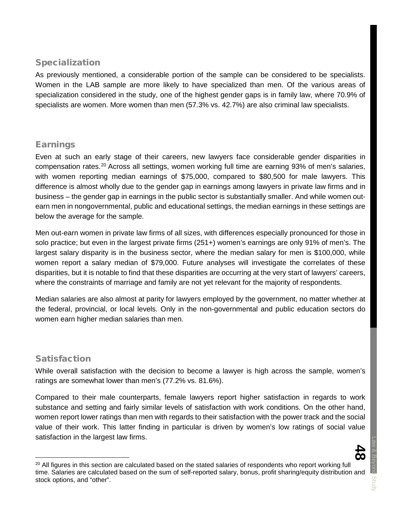### Specialization

As previously mentioned, a considerable portion of the sample can be considered to be specialists. Women in the LAB sample are more likely to have specialized than men. Of the various areas of specialization considered in the study, one of the highest gender gaps is in family law, where 70.9% of specialists are women. More women than men (57.3% vs. 42.7%) are also criminal law specialists.

### Earnings

Even at such an early stage of their careers, new lawyers face considerable gender disparities in compensation rates.[20](#page-49-0) Across all settings, women working full time are earning 93% of men's salaries, with women reporting median earnings of \$75,000, compared to \$80,500 for male lawyers. This difference is almost wholly due to the gender gap in earnings among lawyers in private law firms and in business – the gender gap in earnings in the public sector is substantially smaller. And while women outearn men in nongovernmental, public and educational settings, the median earnings in these settings are below the average for the sample.

Men out-earn women in private law firms of all sizes, with differences especially pronounced for those in solo practice; but even in the largest private firms (251+) women's earnings are only 91% of men's. The largest salary disparity is in the business sector, where the median salary for men is \$100,000, while women report a salary median of \$79,000. Future analyses will investigate the correlates of these disparities, but it is notable to find that these disparities are occurring at the very start of lawyers' careers, where the constraints of marriage and family are not yet relevant for the majority of respondents.

Median salaries are also almost at parity for lawyers employed by the government, no matter whether at the federal, provincial, or local levels. Only in the non-governmental and public education sectors do women earn higher median salaries than men.

#### Satisfaction

While overall satisfaction with the decision to become a lawyer is high across the sample, women's ratings are somewhat lower than men's (77.2% vs. 81.6%).

Compared to their male counterparts, female lawyers report higher satisfaction in regards to work substance and setting and fairly similar levels of satisfaction with work conditions. On the other hand, women report lower ratings than men with regards to their satisfaction with the power track and the social value of their work. This latter finding in particular is driven by women's low ratings of social value satisfaction in the largest law firms.

<span id="page-49-0"></span>

<sup>&</sup>lt;sup>20</sup> All figures in this section are calculated based on the stated salaries of respondents who report working full time. Salaries are calculated based on the sum of self-reported salary, bonus, profit sharing/equity distribution and stock options, and "other".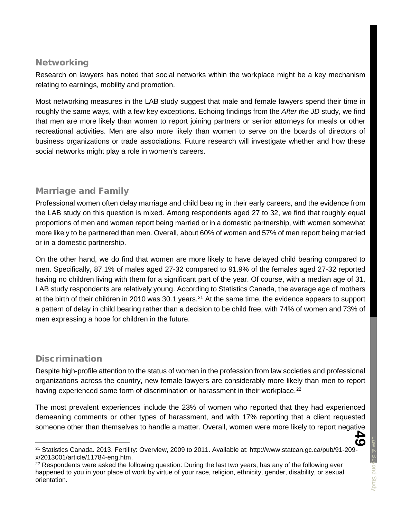#### **Networking**

Research on lawyers has noted that social networks within the workplace might be a key mechanism relating to earnings, mobility and promotion.

Most networking measures in the LAB study suggest that male and female lawyers spend their time in roughly the same ways, with a few key exceptions. Echoing findings from the *After the JD* study, we find that men are more likely than women to report joining partners or senior attorneys for meals or other recreational activities. Men are also more likely than women to serve on the boards of directors of business organizations or trade associations. Future research will investigate whether and how these social networks might play a role in women's careers.

## Marriage and Family

Professional women often delay marriage and child bearing in their early careers, and the evidence from the LAB study on this question is mixed. Among respondents aged 27 to 32, we find that roughly equal proportions of men and women report being married or in a domestic partnership, with women somewhat more likely to be partnered than men. Overall, about 60% of women and 57% of men report being married or in a domestic partnership.

On the other hand, we do find that women are more likely to have delayed child bearing compared to men. Specifically, 87.1% of males aged 27-32 compared to 91.9% of the females aged 27-32 reported having no children living with them for a significant part of the year. Of course, with a median age of 31, LAB study respondents are relatively young. According to Statistics Canada, the average age of mothers at the birth of their children in 2010 was 30.1 years.<sup>[21](#page-50-0)</sup> At the same time, the evidence appears to support a pattern of delay in child bearing rather than a decision to be child free, with 74% of women and 73% of men expressing a hope for children in the future.

## **Discrimination**

Despite high-profile attention to the status of women in the profession from law societies and professional organizations across the country, new female lawyers are considerably more likely than men to report having experienced some form of discrimination or harassment in their workplace.<sup>[22](#page-50-1)</sup>

The most prevalent experiences include the 23% of women who reported that they had experienced demeaning comments or other types of harassment, and with 17% reporting that a client requested someone other than themselves to handle a matter. Overall, women were more likely to report negative

<span id="page-50-0"></span> <sup>21</sup> Statistics Canada. 2013. Fertility: Overview, 2009 to 2011. Available at: [http://www.statcan.gc.ca/pub/91-209](http://www.statcan.gc.ca/pub/91-209-x/2013001/article/11784-eng.htm) [x/2013001/article/11784-eng.htm.](http://www.statcan.gc.ca/pub/91-209-x/2013001/article/11784-eng.htm)

<span id="page-50-1"></span><sup>&</sup>lt;sup>22</sup> Respondents were asked the following question: During the last two years, has any of the following ever happened to you in your place of work by virtue of your race, religion, ethnicity, gender, disability, or sexual orientation.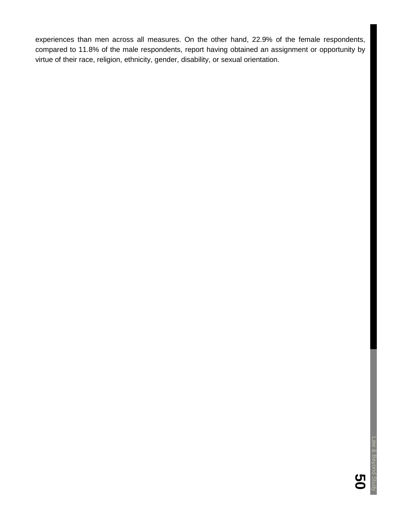experiences than men across all measures. On the other hand, 22.9% of the female respondents, compared to 11.8% of the male respondents, report having obtained an assignment or opportunity by virtue of their race, religion, ethnicity, gender, disability, or sexual orientation.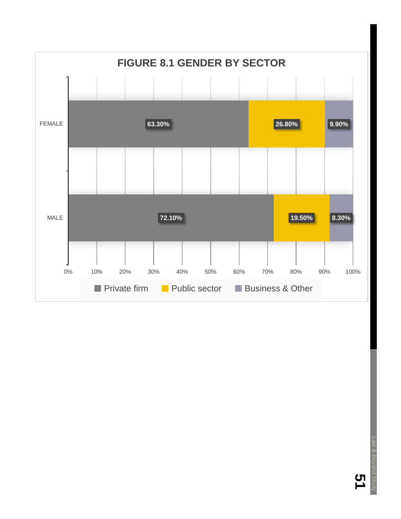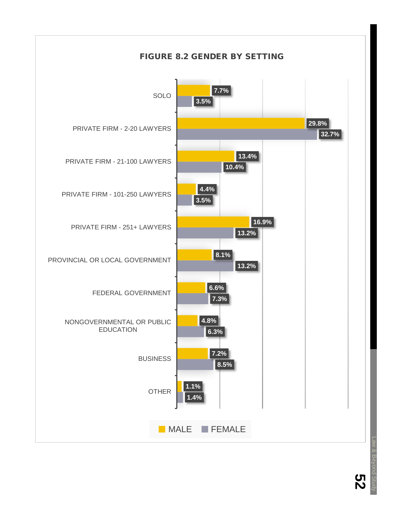

**52** Law & Beyond Study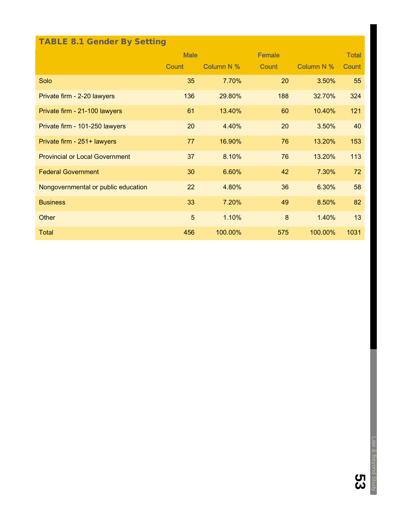## TABLE 8.1 Gender By Setting

|                                       | <b>Male</b>  |            | <b>Female</b> |                   | <b>Total</b> |
|---------------------------------------|--------------|------------|---------------|-------------------|--------------|
|                                       | <b>Count</b> | Column N % | <b>Count</b>  | <b>Column N %</b> | <b>Count</b> |
| Solo                                  | 35           | 7.70%      | 20            | 3.50%             | 55           |
| Private firm - 2-20 lawyers           | 136          | 29.80%     | 188           | 32.70%            | 324          |
| Private firm - 21-100 lawyers         | 61           | 13.40%     | 60            | 10.40%            | 121          |
| Private firm - 101-250 lawyers        | 20           | 4.40%      | 20            | 3.50%             | 40           |
| Private firm - 251+ lawyers           | 77           | 16.90%     | 76            | 13.20%            | 153          |
| <b>Provincial or Local Government</b> | 37           | 8.10%      | 76            | 13.20%            | 113          |
| <b>Federal Government</b>             | 30           | 6.60%      | 42            | 7.30%             | 72           |
| Nongovernmental or public education   | 22           | 4.80%      | 36            | 6.30%             | 58           |
| <b>Business</b>                       | 33           | 7.20%      | 49            | 8.50%             | 82           |
| Other                                 | 5            | 1.10%      | 8             | 1.40%             | 13           |
| <b>Total</b>                          | 456          | 100.00%    | 575           | 100.00%           | 1031         |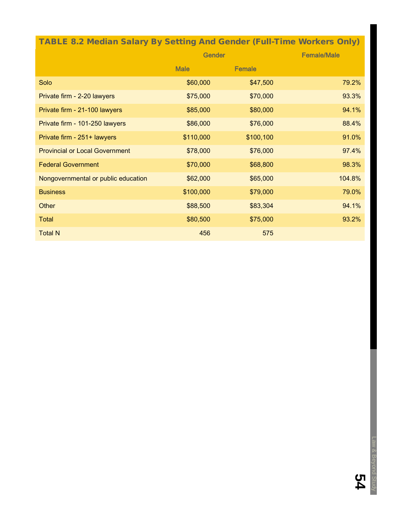## TABLE 8.2 Median Salary By Setting And Gender (Full-Time Workers Only)

|                                       | <b>Gender</b> |               | <b>Female/Male</b> |  |
|---------------------------------------|---------------|---------------|--------------------|--|
|                                       | <b>Male</b>   | <b>Female</b> |                    |  |
| Solo                                  | \$60,000      | \$47,500      | 79.2%              |  |
| Private firm - 2-20 lawyers           | \$75,000      | \$70,000      | 93.3%              |  |
| Private firm - 21-100 lawyers         | \$85,000      | \$80,000      | 94.1%              |  |
| Private firm - 101-250 lawyers        | \$86,000      | \$76,000      | 88.4%              |  |
| Private firm - 251+ lawyers           | \$110,000     | \$100,100     | 91.0%              |  |
| <b>Provincial or Local Government</b> | \$78,000      | \$76,000      | 97.4%              |  |
| <b>Federal Government</b>             | \$70,000      | \$68,800      | 98.3%              |  |
| Nongovernmental or public education   | \$62,000      | \$65,000      | 104.8%             |  |
| <b>Business</b>                       | \$100,000     | \$79,000      | 79.0%              |  |
| Other                                 | \$88,500      | \$83,304      | 94.1%              |  |
| <b>Total</b>                          | \$80,500      | \$75,000      | 93.2%              |  |
| <b>Total N</b>                        | 456           | 575           |                    |  |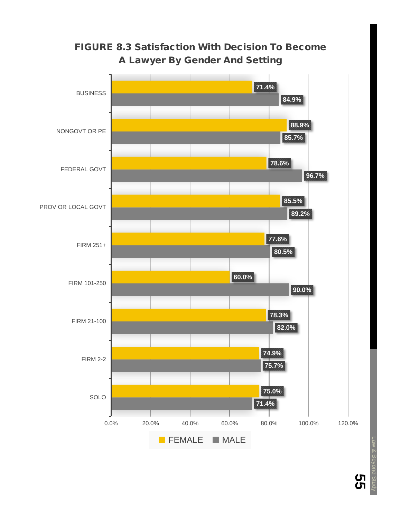

## FIGURE 8.3 Satisfaction With Decision To Become A Lawyer By Gender And Setting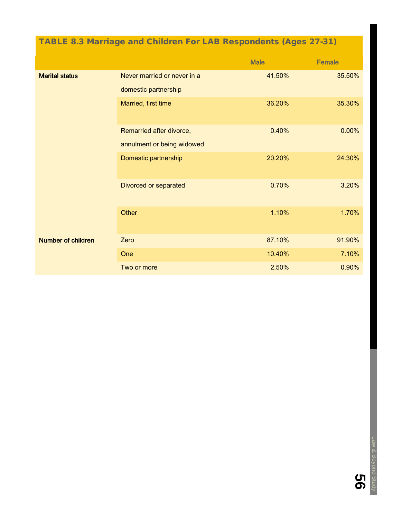## TABLE 8.3 Marriage and Children For LAB Respondents (Ages 27-31)

|                           |                             | <b>Male</b> | <b>Female</b> |
|---------------------------|-----------------------------|-------------|---------------|
| <b>Marital status</b>     | Never married or never in a | 41.50%      | 35.50%        |
|                           | domestic partnership        |             |               |
|                           | Married, first time         | 36.20%      | 35.30%        |
|                           | Remarried after divorce,    | 0.40%       | 0.00%         |
|                           | annulment or being widowed  |             |               |
|                           | Domestic partnership        | 20.20%      | 24.30%        |
|                           | Divorced or separated       | 0.70%       | 3.20%         |
|                           | Other                       | 1.10%       | 1.70%         |
| <b>Number of children</b> | Zero                        | 87.10%      | 91.90%        |
|                           | One                         | 10.40%      | 7.10%         |
|                           | Two or more                 | 2.50%       | 0.90%         |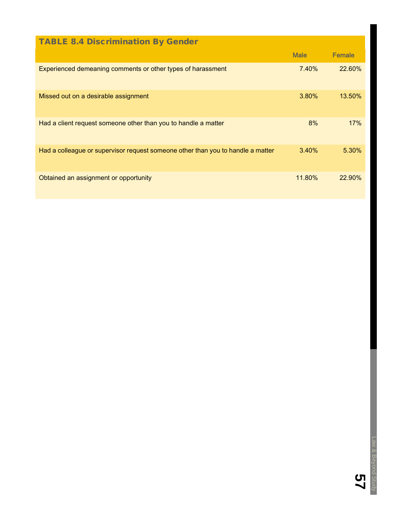| <b>TABLE 8.4 Discrimination By Gender</b>                                       |             |               |
|---------------------------------------------------------------------------------|-------------|---------------|
|                                                                                 | <b>Male</b> | <b>Female</b> |
| Experienced demeaning comments or other types of harassment                     | 7.40%       | <b>22.60%</b> |
| Missed out on a desirable assignment                                            | 3.80%       | $13.50\%$     |
| Had a client request someone other than you to handle a matter                  | 8%          | 17%           |
| Had a colleague or supervisor request someone other than you to handle a matter | 3.40%       | 5.30%         |
| Obtained an assignment or opportunity                                           | 11.80%      | $22.90\%$     |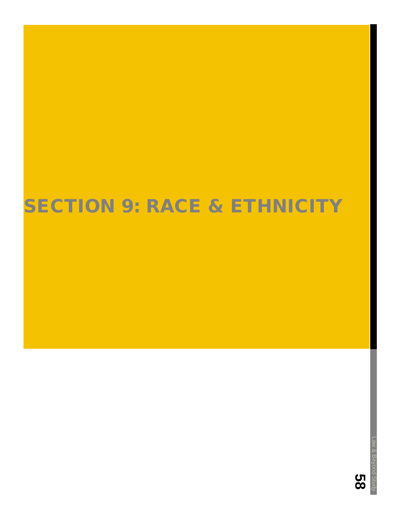# **SECTION 9: RACE & ETHNICITY**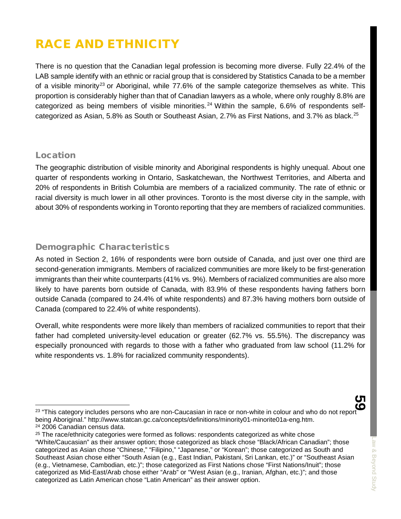## RACE AND ETHNICITY

There is no question that the Canadian legal profession is becoming more diverse. Fully 22.4% of the LAB sample identify with an ethnic or racial group that is considered by Statistics Canada to be a member of a visible minority<sup>[23](#page-60-0)</sup> or Aboriginal, while 77.6% of the sample categorize themselves as white. This proportion is considerably higher than that of Canadian lawyers as a whole, where only roughly 8.8% are categorized as being members of visible minorities.<sup>[24](#page-60-1)</sup> Within the sample,  $6.6\%$  of respondents self-categorized as Asian, 5.8% as South or Southeast Asian, 2.7% as First Nations, and 3.7% as black.<sup>[25](#page-60-2)</sup>

#### **Location**

The geographic distribution of visible minority and Aboriginal respondents is highly unequal. About one quarter of respondents working in Ontario, Saskatchewan, the Northwest Territories, and Alberta and 20% of respondents in British Columbia are members of a racialized community. The rate of ethnic or racial diversity is much lower in all other provinces. Toronto is the most diverse city in the sample, with about 30% of respondents working in Toronto reporting that they are members of racialized communities.

## Demographic Characteristics

As noted in Section 2, 16% of respondents were born outside of Canada, and just over one third are second-generation immigrants. Members of racialized communities are more likely to be first-generation immigrants than their white counterparts (41% vs. 9%). Members of racialized communities are also more likely to have parents born outside of Canada, with 83.9% of these respondents having fathers born outside Canada (compared to 24.4% of white respondents) and 87.3% having mothers born outside of Canada (compared to 22.4% of white respondents).

Overall, white respondents were more likely than members of racialized communities to report that their father had completed university-level education or greater (62.7% vs. 55.5%). The discrepancy was especially pronounced with regards to those with a father who graduated from law school (11.2% for white respondents vs. 1.8% for racialized community respondents).

<span id="page-60-0"></span><sup>&</sup>lt;sup>23</sup> "This category includes persons who are non-Caucasian in race or non-white in colour and who do not report being Aboriginal." http://www.statcan.gc.ca/concepts/definitions/minority01-minorite01a-eng.htm. <sup>24</sup> 2006 Canadian census data.

<span id="page-60-2"></span><span id="page-60-1"></span> $25$  The race/ethnicity categories were formed as follows: respondents categorized as white chose "White/Caucasian" as their answer option; those categorized as black chose "Black/African Canadian"; those categorized as Asian chose "Chinese," "Filipino," "Japanese," or "Korean"; those categorized as South and Southeast Asian chose either "South Asian (e.g., East Indian, Pakistani, Sri Lankan, etc.)" or "Southeast Asian (e.g., Vietnamese, Cambodian, etc.)"; those categorized as First Nations chose "First Nations/Inuit"; those categorized as Mid-East/Arab chose either "Arab" or "West Asian (e.g., Iranian, Afghan, etc.)"; and those categorized as Latin American chose "Latin American" as their answer option.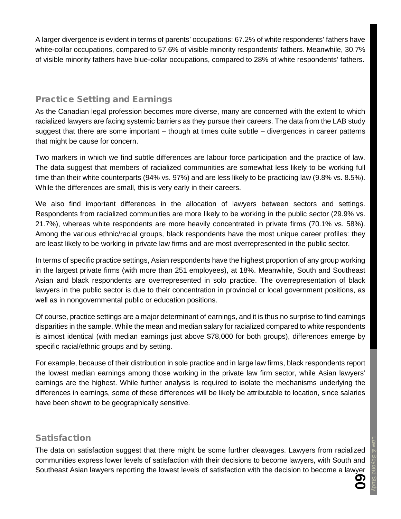A larger divergence is evident in terms of parents' occupations: 67.2% of white respondents' fathers have white-collar occupations, compared to 57.6% of visible minority respondents' fathers. Meanwhile, 30.7% of visible minority fathers have blue-collar occupations, compared to 28% of white respondents' fathers.

## Practice Setting and Earnings

As the Canadian legal profession becomes more diverse, many are concerned with the extent to which racialized lawyers are facing systemic barriers as they pursue their careers. The data from the LAB study suggest that there are some important – though at times quite subtle – divergences in career patterns that might be cause for concern.

Two markers in which we find subtle differences are labour force participation and the practice of law. The data suggest that members of racialized communities are somewhat less likely to be working full time than their white counterparts (94% vs. 97%) and are less likely to be practicing law (9.8% vs. 8.5%). While the differences are small, this is very early in their careers.

We also find important differences in the allocation of lawyers between sectors and settings. Respondents from racialized communities are more likely to be working in the public sector (29.9% vs. 21.7%), whereas white respondents are more heavily concentrated in private firms (70.1% vs. 58%). Among the various ethnic/racial groups, black respondents have the most unique career profiles: they are least likely to be working in private law firms and are most overrepresented in the public sector.

In terms of specific practice settings, Asian respondents have the highest proportion of any group working in the largest private firms (with more than 251 employees), at 18%. Meanwhile, South and Southeast Asian and black respondents are overrepresented in solo practice. The overrepresentation of black lawyers in the public sector is due to their concentration in provincial or local government positions, as well as in nongovernmental public or education positions.

Of course, practice settings are a major determinant of earnings, and it is thus no surprise to find earnings disparities in the sample. While the mean and median salary for racialized compared to white respondents is almost identical (with median earnings just above \$78,000 for both groups), differences emerge by specific racial/ethnic groups and by setting.

For example, because of their distribution in sole practice and in large law firms, black respondents report the lowest median earnings among those working in the private law firm sector, while Asian lawyers' earnings are the highest. While further analysis is required to isolate the mechanisms underlying the differences in earnings, some of these differences will be likely be attributable to location, since salaries have been shown to be geographically sensitive.

## Satisfaction

The data on satisfaction suggest that there might be some further cleavages. Lawyers from racialized communities express lower levels of satisfaction with their decisions to become lawyers, with South and Southeast Asian lawyers reporting the lowest levels of satisfaction with the decision to become a lawyer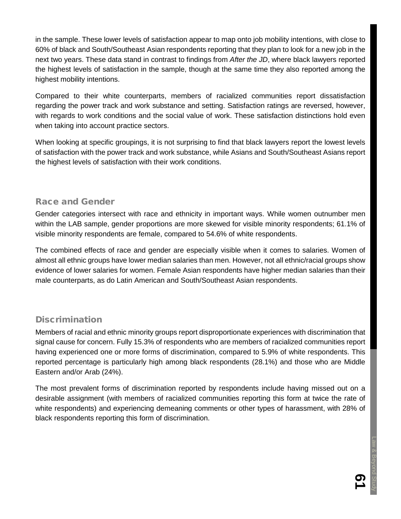in the sample. These lower levels of satisfaction appear to map onto job mobility intentions, with close to 60% of black and South/Southeast Asian respondents reporting that they plan to look for a new job in the next two years. These data stand in contrast to findings from *After the JD*, where black lawyers reported the highest levels of satisfaction in the sample, though at the same time they also reported among the highest mobility intentions.

Compared to their white counterparts, members of racialized communities report dissatisfaction regarding the power track and work substance and setting. Satisfaction ratings are reversed, however, with regards to work conditions and the social value of work. These satisfaction distinctions hold even when taking into account practice sectors.

When looking at specific groupings, it is not surprising to find that black lawyers report the lowest levels of satisfaction with the power track and work substance, while Asians and South/Southeast Asians report the highest levels of satisfaction with their work conditions.

### Race and Gender

Gender categories intersect with race and ethnicity in important ways. While women outnumber men within the LAB sample, gender proportions are more skewed for visible minority respondents; 61.1% of visible minority respondents are female, compared to 54.6% of white respondents.

The combined effects of race and gender are especially visible when it comes to salaries. Women of almost all ethnic groups have lower median salaries than men. However, not all ethnic/racial groups show evidence of lower salaries for women. Female Asian respondents have higher median salaries than their male counterparts, as do Latin American and South/Southeast Asian respondents.

## **Discrimination**

Members of racial and ethnic minority groups report disproportionate experiences with discrimination that signal cause for concern. Fully 15.3% of respondents who are members of racialized communities report having experienced one or more forms of discrimination, compared to 5.9% of white respondents. This reported percentage is particularly high among black respondents (28.1%) and those who are Middle Eastern and/or Arab (24%).

The most prevalent forms of discrimination reported by respondents include having missed out on a desirable assignment (with members of racialized communities reporting this form at twice the rate of white respondents) and experiencing demeaning comments or other types of harassment, with 28% of black respondents reporting this form of discrimination.

<u>რ</u><br>1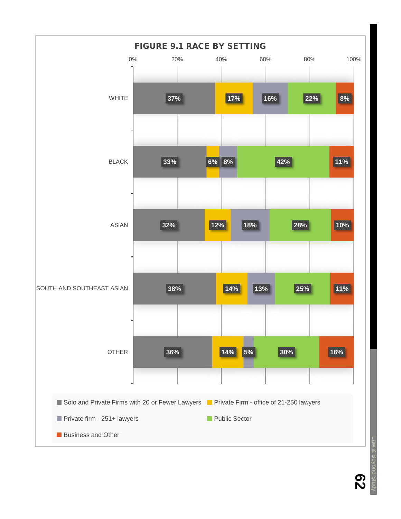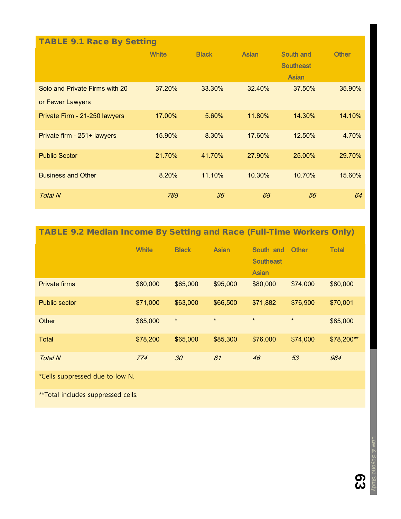| <b>TABLE 9.1 Race By Setting</b> |              |              |              |                                  |              |  |
|----------------------------------|--------------|--------------|--------------|----------------------------------|--------------|--|
|                                  | <b>White</b> | <b>Black</b> | <b>Asian</b> | South and                        | <b>Other</b> |  |
|                                  |              |              |              | <b>Southeast</b><br><b>Asian</b> |              |  |
|                                  |              |              |              |                                  |              |  |
| Solo and Private Firms with 20   | 37.20%       | 33.30%       | 32.40%       | 37.50%                           | 35.90%       |  |
| or Fewer Lawyers                 |              |              |              |                                  |              |  |
| Private Firm - 21-250 lawyers    | 17.00%       | 5.60%        | 11.80%       | 14.30%                           | 14.10%       |  |
|                                  |              |              |              |                                  |              |  |
| Private firm - 251+ lawyers      | 15.90%       | 8.30%        | 17.60%       | 12.50%                           | 4.70%        |  |
| <b>Public Sector</b>             | 21.70%       | 41.70%       | 27.90%       | 25.00%                           | 29.70%       |  |
|                                  |              |              |              |                                  |              |  |
| <b>Business and Other</b>        | 8.20%        | 11.10%       | 10.30%       | 10.70%                           | 15.60%       |  |
| <b>Total N</b>                   | 788          | 36           | 68           | 56                               | 64           |  |

TABLE 9.2 Median Income By Setting and Race (Full-Time Workers Only)

|                      | <b>White</b> | <b>Black</b> | <b>Asian</b> | South and<br><b>Southeast</b><br><b>Asian</b> | <b>Other</b> | <b>Total</b> |
|----------------------|--------------|--------------|--------------|-----------------------------------------------|--------------|--------------|
| <b>Private firms</b> | \$80,000     | \$65,000     | \$95,000     | \$80,000                                      | \$74,000     | \$80,000     |
| Public sector        | \$71,000     | \$63,000     | \$66,500     | \$71,882                                      | \$76,900     | \$70,001     |
| Other                | \$85,000     | $\star$      | $\star$      | $\star$                                       | $\star$      | \$85,000     |
| <b>Total</b>         | \$78,200     | \$65,000     | \$85,300     | \$76,000                                      | \$74,000     | \$78,200**   |
| <b>Total N</b>       | 774          | 30           | 61           | 46                                            | 53           | 964          |

\*Cells suppressed due to low N.

\*\*Total includes suppressed cells.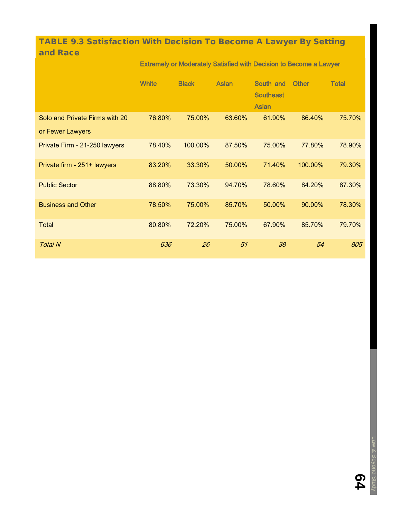## TABLE 9.3 Satisfaction With Decision To Become A Lawyer By Setting and Race

#### Extremely or Moderately Satisfied with Decision to Become a Lawyer

|                                | <b>White</b> | <b>Black</b> | <b>Asian</b> | South and<br><b>Southeast</b><br><b>Asian</b> | <b>Other</b> | <b>Total</b> |
|--------------------------------|--------------|--------------|--------------|-----------------------------------------------|--------------|--------------|
| Solo and Private Firms with 20 | 76.80%       | 75.00%       | 63.60%       | 61.90%                                        | 86.40%       | 75.70%       |
| or Fewer Lawyers               |              |              |              |                                               |              |              |
| Private Firm - 21-250 lawyers  | 78.40%       | 100.00%      | 87.50%       | 75.00%                                        | 77.80%       | 78.90%       |
| Private firm - 251+ lawyers    | 83.20%       | 33.30%       | 50.00%       | 71.40%                                        | 100.00%      | 79.30%       |
| <b>Public Sector</b>           | 88.80%       | 73.30%       | 94.70%       | 78.60%                                        | 84.20%       | 87.30%       |
| <b>Business and Other</b>      | 78.50%       | 75.00%       | 85.70%       | 50.00%                                        | 90.00%       | 78.30%       |
| <b>Total</b>                   | 80.80%       | 72.20%       | 75.00%       | 67.90%                                        | 85.70%       | 79.70%       |
| <b>Total N</b>                 | 636          | 26           | 51           | 38                                            | 54           | 805          |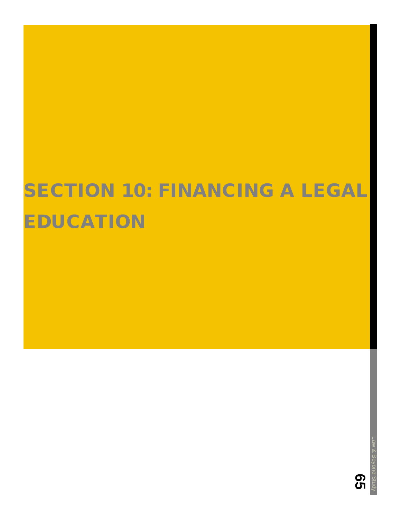# **SECTION 10: FINANCING A LEGAL** EDUCATION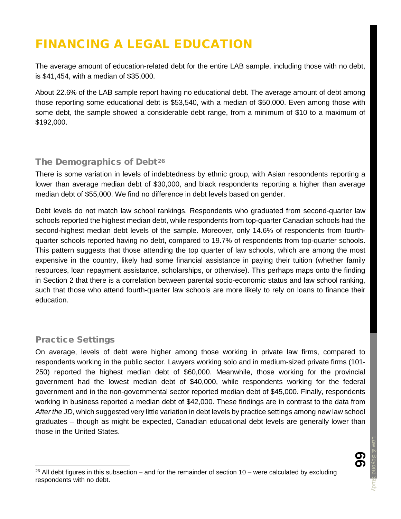## FINANCING A LEGAL EDUCATION

The average amount of education-related debt for the entire LAB sample, including those with no debt, is \$41,454, with a median of \$35,000.

About 22.6% of the LAB sample report having no educational debt. The average amount of debt among those reporting some educational debt is \$53,540, with a median of \$50,000. Even among those with some debt, the sample showed a considerable debt range, from a minimum of \$10 to a maximum of \$192,000.

#### The Demographics of Debt<sup>[26](#page-67-0)</sup>

There is some variation in levels of indebtedness by ethnic group, with Asian respondents reporting a lower than average median debt of \$30,000, and black respondents reporting a higher than average median debt of \$55,000. We find no difference in debt levels based on gender.

Debt levels do not match law school rankings. Respondents who graduated from second-quarter law schools reported the highest median debt, while respondents from top-quarter Canadian schools had the second-highest median debt levels of the sample. Moreover, only 14.6% of respondents from fourthquarter schools reported having no debt, compared to 19.7% of respondents from top-quarter schools. This pattern suggests that those attending the top quarter of law schools, which are among the most expensive in the country, likely had some financial assistance in paying their tuition (whether family resources, loan repayment assistance, scholarships, or otherwise). This perhaps maps onto the finding in Section 2 that there is a correlation between parental socio-economic status and law school ranking, such that those who attend fourth-quarter law schools are more likely to rely on loans to finance their education.

## Practice Settings

On average, levels of debt were higher among those working in private law firms, compared to respondents working in the public sector. Lawyers working solo and in medium-sized private firms (101- 250) reported the highest median debt of \$60,000. Meanwhile, those working for the provincial government had the lowest median debt of \$40,000, while respondents working for the federal government and in the non-governmental sector reported median debt of \$45,000. Finally, respondents working in business reported a median debt of \$42,000. These findings are in contrast to the data from *After the JD*, which suggested very little variation in debt levels by practice settings among new law school graduates – though as might be expected, Canadian educational debt levels are generally lower than those in the United States.

<span id="page-67-0"></span> $26$  All debt figures in this subsection – and for the remainder of section 10 – were calculated by excluding respondents with no debt.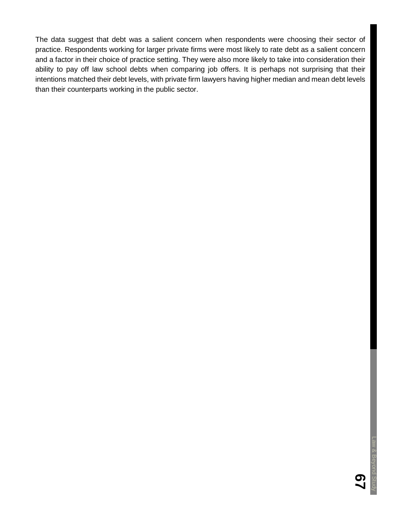The data suggest that debt was a salient concern when respondents were choosing their sector of practice. Respondents working for larger private firms were most likely to rate debt as a salient concern and a factor in their choice of practice setting. They were also more likely to take into consideration their ability to pay off law school debts when comparing job offers. It is perhaps not surprising that their intentions matched their debt levels, with private firm lawyers having higher median and mean debt levels than their counterparts working in the public sector.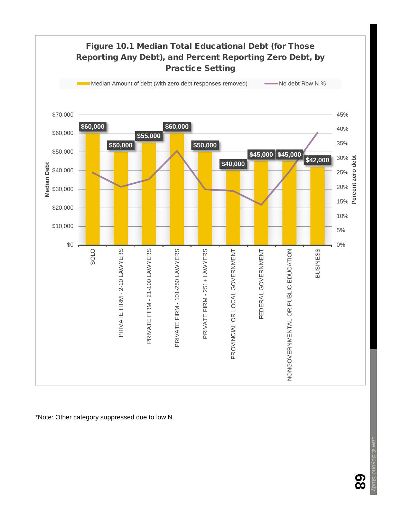

\*Note: Other category suppressed due to low N.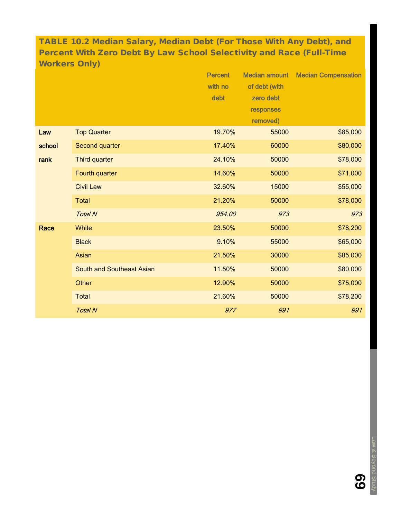TABLE 10.2 Median Salary, Median Debt (For Those With Any Debt), and Percent With Zero Debt By Law School Selectivity and Race (Full-Time Workers Only)

|        |                                  | <b>Percent</b> | <b>Median amount</b> | <b>Median Compensation</b> |
|--------|----------------------------------|----------------|----------------------|----------------------------|
|        |                                  | with no        | of debt (with        |                            |
|        |                                  | debt           | zero debt            |                            |
|        |                                  |                | responses            |                            |
|        |                                  |                | removed)             |                            |
| Law    | <b>Top Quarter</b>               | 19.70%         | 55000                | \$85,000                   |
| school | Second quarter                   | 17.40%         | 60000                | \$80,000                   |
| rank   | Third quarter                    | 24.10%         | 50000                | \$78,000                   |
|        | Fourth quarter                   | 14.60%         | 50000                | \$71,000                   |
|        | <b>Civil Law</b>                 | 32.60%         | 15000                | \$55,000                   |
|        | <b>Total</b>                     | 21.20%         | 50000                | \$78,000                   |
|        | <b>Total N</b>                   | 954.00         | 973                  | 973                        |
| Race   | White                            | 23.50%         | 50000                | \$78,200                   |
|        | <b>Black</b>                     | 9.10%          | 55000                | \$65,000                   |
|        | Asian                            | 21.50%         | 30000                | \$85,000                   |
|        | <b>South and Southeast Asian</b> | 11.50%         | 50000                | \$80,000                   |
|        | Other                            | 12.90%         | 50000                | \$75,000                   |
|        | <b>Total</b>                     | 21.60%         | 50000                | \$78,200                   |
|        | <b>Total N</b>                   | 977            | 991                  | 991                        |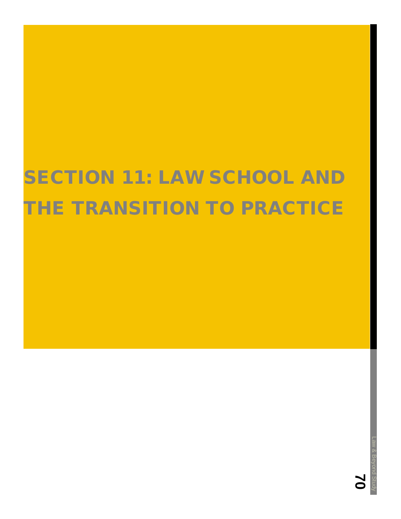# SECTION 11: LAW SCHOOL AND THE TRANSITION TO PRACTICE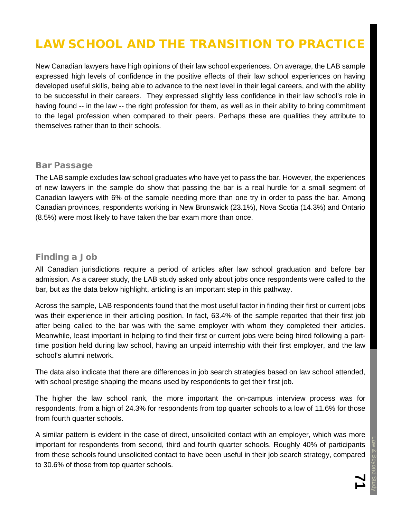# LAW SCHOOL AND THE TRANSITION TO PRACTICE

New Canadian lawyers have high opinions of their law school experiences. On average, the LAB sample expressed high levels of confidence in the positive effects of their law school experiences on having developed useful skills, being able to advance to the next level in their legal careers, and with the ability to be successful in their careers. They expressed slightly less confidence in their law school's role in having found -- in the law -- the right profession for them, as well as in their ability to bring commitment to the legal profession when compared to their peers. Perhaps these are qualities they attribute to themselves rather than to their schools.

#### Bar Passage

The LAB sample excludes law school graduates who have yet to pass the bar. However, the experiences of new lawyers in the sample do show that passing the bar is a real hurdle for a small segment of Canadian lawyers with 6% of the sample needing more than one try in order to pass the bar. Among Canadian provinces, respondents working in New Brunswick (23.1%), Nova Scotia (14.3%) and Ontario (8.5%) were most likely to have taken the bar exam more than once.

#### Finding a Job

All Canadian jurisdictions require a period of articles after law school graduation and before bar admission. As a career study, the LAB study asked only about jobs once respondents were called to the bar, but as the data below highlight, articling is an important step in this pathway.

Across the sample, LAB respondents found that the most useful factor in finding their first or current jobs was their experience in their articling position. In fact, 63.4% of the sample reported that their first job after being called to the bar was with the same employer with whom they completed their articles. Meanwhile, least important in helping to find their first or current jobs were being hired following a parttime position held during law school, having an unpaid internship with their first employer, and the law school's alumni network.

The data also indicate that there are differences in job search strategies based on law school attended, with school prestige shaping the means used by respondents to get their first job.

The higher the law school rank, the more important the on-campus interview process was for respondents, from a high of 24.3% for respondents from top quarter schools to a low of 11.6% for those from fourth quarter schools.

A similar pattern is evident in the case of direct, unsolicited contact with an employer, which was more important for respondents from second, third and fourth quarter schools. Roughly 40% of participants from these schools found unsolicited contact to have been useful in their job search strategy, compared to 30.6% of those from top quarter schools.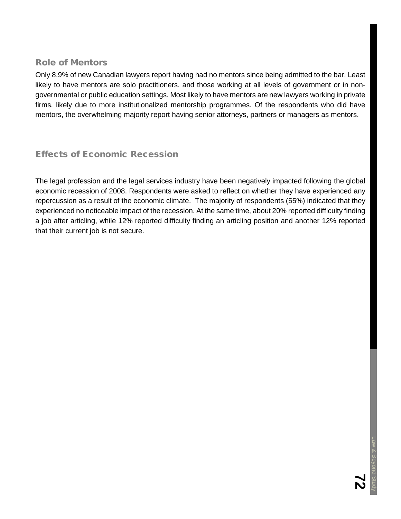#### Role of Mentors

Only 8.9% of new Canadian lawyers report having had no mentors since being admitted to the bar. Least likely to have mentors are solo practitioners, and those working at all levels of government or in nongovernmental or public education settings. Most likely to have mentors are new lawyers working in private firms, likely due to more institutionalized mentorship programmes. Of the respondents who did have mentors, the overwhelming majority report having senior attorneys, partners or managers as mentors.

### Effects of Economic Recession

The legal profession and the legal services industry have been negatively impacted following the global economic recession of 2008. Respondents were asked to reflect on whether they have experienced any repercussion as a result of the economic climate. The majority of respondents (55%) indicated that they experienced no noticeable impact of the recession. At the same time, about 20% reported difficulty finding a job after articling, while 12% reported difficulty finding an articling position and another 12% reported that their current job is not secure.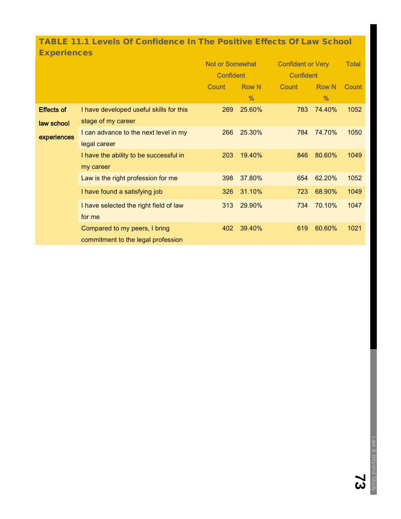## TABLE 11.1 Levels Of Confidence In The Positive Effects Of Law School **Experiences**

|                   |                                         | <b>Not or Somewhat</b><br><b>Confident</b> |              | <b>Confident or Very</b><br><b>Confident</b> |              | <b>Total</b> |
|-------------------|-----------------------------------------|--------------------------------------------|--------------|----------------------------------------------|--------------|--------------|
|                   |                                         |                                            |              |                                              |              |              |
|                   |                                         | Count                                      | <b>Row N</b> | <b>Count</b>                                 | <b>Row N</b> | <b>Count</b> |
|                   |                                         |                                            | %            |                                              | $\%$         |              |
| <b>Effects of</b> | I have developed useful skills for this | 269                                        | 25.60%       | 783                                          | 74.40%       | 1052         |
| law school        | stage of my career                      |                                            |              |                                              |              |              |
| experiences       | I can advance to the next level in my   | 266                                        | 25.30%       | 784                                          | 74.70%       | 1050         |
|                   | legal career                            |                                            |              |                                              |              |              |
|                   | I have the ability to be successful in  | 203                                        | 19.40%       | 846                                          | 80.60%       | 1049         |
|                   | my career                               |                                            |              |                                              |              |              |
|                   | Law is the right profession for me      | 398                                        | 37.80%       | 654                                          | 62.20%       | 1052         |
|                   | I have found a satisfying job           | 326                                        | 31.10%       | 723                                          | 68.90%       | 1049         |
|                   | I have selected the right field of law  | 313                                        | 29.90%       | 734                                          | 70.10%       | 1047         |
|                   | for me                                  |                                            |              |                                              |              |              |
|                   | Compared to my peers, I bring           | 402                                        | 39.40%       | 619                                          | 60.60%       | 1021         |
|                   | commitment to the legal profession      |                                            |              |                                              |              |              |

**73**